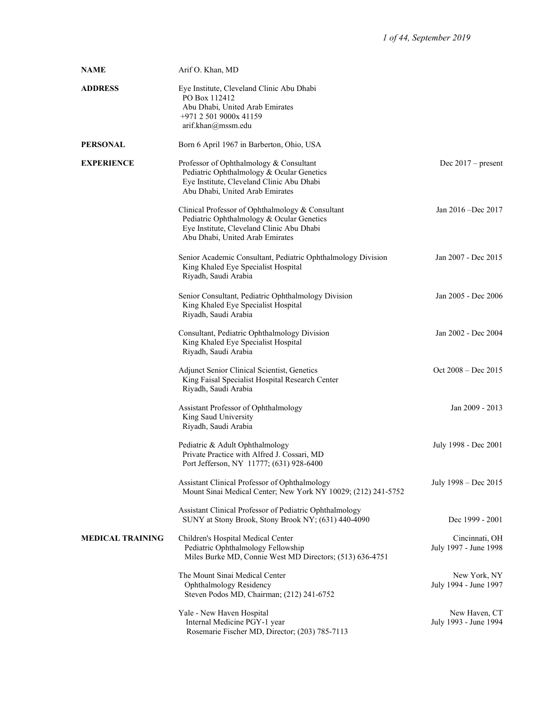| <b>NAME</b>             | Arif O. Khan, MD                                                                                                                                                              |                                         |
|-------------------------|-------------------------------------------------------------------------------------------------------------------------------------------------------------------------------|-----------------------------------------|
| <b>ADDRESS</b>          | Eye Institute, Cleveland Clinic Abu Dhabi<br>PO Box 112412<br>Abu Dhabi, United Arab Emirates<br>+971 2 501 9000x 41159<br>arif.khan@mssm.edu                                 |                                         |
| <b>PERSONAL</b>         | Born 6 April 1967 in Barberton, Ohio, USA                                                                                                                                     |                                         |
| <b>EXPERIENCE</b>       | Professor of Ophthalmology & Consultant<br>Pediatric Ophthalmology & Ocular Genetics<br>Eye Institute, Cleveland Clinic Abu Dhabi<br>Abu Dhabi, United Arab Emirates          | Dec $2017$ – present                    |
|                         | Clinical Professor of Ophthalmology & Consultant<br>Pediatric Ophthalmology & Ocular Genetics<br>Eye Institute, Cleveland Clinic Abu Dhabi<br>Abu Dhabi, United Arab Emirates | Jan 2016 -Dec 2017                      |
|                         | Senior Academic Consultant, Pediatric Ophthalmology Division<br>King Khaled Eye Specialist Hospital<br>Riyadh, Saudi Arabia                                                   | Jan 2007 - Dec 2015                     |
|                         | Senior Consultant, Pediatric Ophthalmology Division<br>King Khaled Eye Specialist Hospital<br>Riyadh, Saudi Arabia                                                            | Jan 2005 - Dec 2006                     |
|                         | Consultant, Pediatric Ophthalmology Division<br>King Khaled Eye Specialist Hospital<br>Riyadh, Saudi Arabia                                                                   | Jan 2002 - Dec 2004                     |
|                         | <b>Adjunct Senior Clinical Scientist, Genetics</b><br>King Faisal Specialist Hospital Research Center<br>Riyadh, Saudi Arabia                                                 | $Oct 2008 - Dec 2015$                   |
|                         | Assistant Professor of Ophthalmology<br>King Saud University<br>Riyadh, Saudi Arabia                                                                                          | Jan 2009 - 2013                         |
|                         | Pediatric & Adult Ophthalmology<br>Private Practice with Alfred J. Cossari, MD<br>Port Jefferson, NY 11777; (631) 928-6400                                                    | July 1998 - Dec 2001                    |
|                         | Assistant Clinical Professor of Ophthalmology<br>Mount Sinai Medical Center; New York NY 10029; (212) 241-5752                                                                | July 1998 – Dec 2015                    |
|                         | Assistant Clinical Professor of Pediatric Ophthalmology<br>SUNY at Stony Brook, Stony Brook NY; (631) 440-4090                                                                | Dec 1999 - 2001                         |
| <b>MEDICAL TRAINING</b> | Children's Hospital Medical Center<br>Pediatric Ophthalmology Fellowship<br>Miles Burke MD, Connie West MD Directors; (513) 636-4751                                          | Cincinnati, OH<br>July 1997 - June 1998 |
|                         | The Mount Sinai Medical Center<br>Ophthalmology Residency<br>Steven Podos MD, Chairman; (212) 241-6752                                                                        | New York, NY<br>July 1994 - June 1997   |
|                         | Yale - New Haven Hospital<br>Internal Medicine PGY-1 year<br>Rosemarie Fischer MD, Director; (203) 785-7113                                                                   | New Haven, CT<br>July 1993 - June 1994  |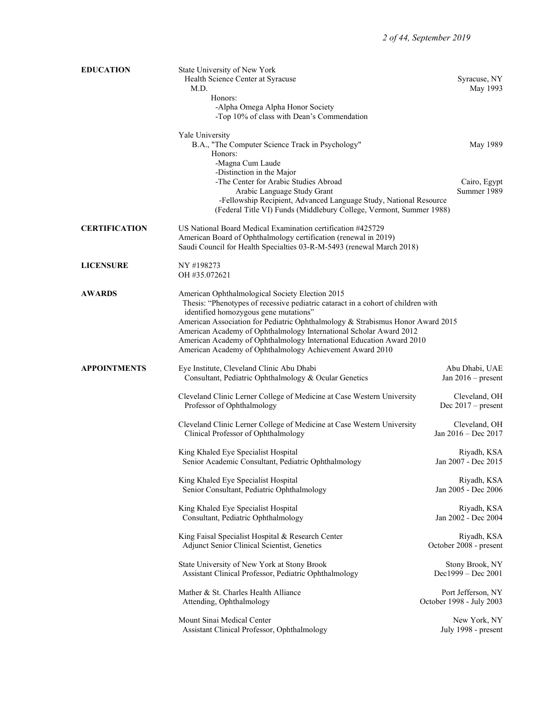| <b>EDUCATION</b>     | State University of New York                                                                                                                                                                                                                                   |                                                |
|----------------------|----------------------------------------------------------------------------------------------------------------------------------------------------------------------------------------------------------------------------------------------------------------|------------------------------------------------|
|                      | Health Science Center at Syracuse<br>M.D.                                                                                                                                                                                                                      | Syracuse, NY<br>May 1993                       |
|                      | Honors:                                                                                                                                                                                                                                                        |                                                |
|                      | -Alpha Omega Alpha Honor Society<br>-Top 10% of class with Dean's Commendation                                                                                                                                                                                 |                                                |
|                      | Yale University                                                                                                                                                                                                                                                |                                                |
|                      | B.A., "The Computer Science Track in Psychology"                                                                                                                                                                                                               | May 1989                                       |
|                      | Honors:                                                                                                                                                                                                                                                        |                                                |
|                      | -Magna Cum Laude                                                                                                                                                                                                                                               |                                                |
|                      | -Distinction in the Major<br>-The Center for Arabic Studies Abroad                                                                                                                                                                                             | Cairo, Egypt                                   |
|                      | Arabic Language Study Grant                                                                                                                                                                                                                                    | Summer 1989                                    |
|                      | -Fellowship Recipient, Advanced Language Study, National Resource<br>(Federal Title VI) Funds (Middlebury College, Vermont, Summer 1988)                                                                                                                       |                                                |
| <b>CERTIFICATION</b> | US National Board Medical Examination certification #425729<br>American Board of Ophthalmology certification (renewal in 2019)<br>Saudi Council for Health Specialties 03-R-M-5493 (renewal March 2018)                                                        |                                                |
| <b>LICENSURE</b>     | NY #198273<br>OH #35.072621                                                                                                                                                                                                                                    |                                                |
| <b>AWARDS</b>        | American Ophthalmological Society Election 2015<br>Thesis: "Phenotypes of recessive pediatric cataract in a cohort of children with<br>identified homozygous gene mutations"<br>American Association for Pediatric Ophthalmology & Strabismus Honor Award 2015 |                                                |
|                      | American Academy of Ophthalmology International Scholar Award 2012<br>American Academy of Ophthalmology International Education Award 2010<br>American Academy of Ophthalmology Achievement Award 2010                                                         |                                                |
| <b>APPOINTMENTS</b>  | Eye Institute, Cleveland Clinic Abu Dhabi<br>Consultant, Pediatric Ophthalmology & Ocular Genetics                                                                                                                                                             | Abu Dhabi, UAE<br>Jan $2016$ – present         |
|                      | Cleveland Clinic Lerner College of Medicine at Case Western University<br>Professor of Ophthalmology                                                                                                                                                           | Cleveland, OH<br>Dec $2017$ – present          |
|                      | Cleveland Clinic Lerner College of Medicine at Case Western University<br>Clinical Professor of Ophthalmology                                                                                                                                                  | Cleveland, OH<br>Jan 2016 - Dec 2017           |
|                      | King Khaled Eye Specialist Hospital<br>Senior Academic Consultant, Pediatric Ophthalmology                                                                                                                                                                     | Riyadh, KSA<br>Jan 2007 - Dec 2015             |
|                      | King Khaled Eye Specialist Hospital<br>Senior Consultant, Pediatric Ophthalmology                                                                                                                                                                              | Riyadh, KSA<br>Jan 2005 - Dec 2006             |
|                      | King Khaled Eye Specialist Hospital<br>Consultant, Pediatric Ophthalmology                                                                                                                                                                                     | Riyadh, KSA<br>Jan 2002 - Dec 2004             |
|                      | King Faisal Specialist Hospital & Research Center<br>Adjunct Senior Clinical Scientist, Genetics                                                                                                                                                               | Riyadh, KSA<br>October 2008 - present          |
|                      | State University of New York at Stony Brook<br>Assistant Clinical Professor, Pediatric Ophthalmology                                                                                                                                                           | Stony Brook, NY<br>Dec1999 - Dec 2001          |
|                      | Mather & St. Charles Health Alliance<br>Attending, Ophthalmology                                                                                                                                                                                               | Port Jefferson, NY<br>October 1998 - July 2003 |
|                      | Mount Sinai Medical Center<br>Assistant Clinical Professor, Ophthalmology                                                                                                                                                                                      | New York, NY<br>July 1998 - present            |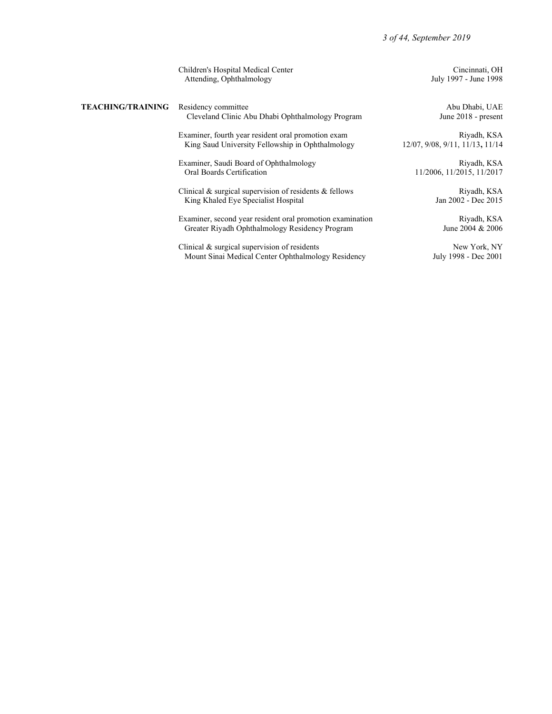|                          | Children's Hospital Medical Center<br>Attending, Ophthalmology                                              | Cincinnati, OH<br>July 1997 - June 1998        |
|--------------------------|-------------------------------------------------------------------------------------------------------------|------------------------------------------------|
| <b>TEACHING/TRAINING</b> | Residency committee<br>Cleveland Clinic Abu Dhabi Ophthalmology Program                                     | Abu Dhabi, UAE<br>June 2018 - present          |
|                          | Examiner, fourth year resident oral promotion exam<br>King Saud University Fellowship in Ophthalmology      | Riyadh, KSA<br>12/07, 9/08, 9/11, 11/13, 11/14 |
|                          | Examiner, Saudi Board of Ophthalmology<br>Oral Boards Certification                                         | Riyadh, KSA<br>11/2006, 11/2015, 11/2017       |
|                          | Clinical $\&$ surgical supervision of residents $\&$ fellows<br>King Khaled Eye Specialist Hospital         | Riyadh, KSA<br>Jan 2002 - Dec 2015             |
|                          | Examiner, second year resident oral promotion examination<br>Greater Riyadh Ophthalmology Residency Program | Riyadh, KSA<br>June 2004 & 2006                |
|                          | Clinical & surgical supervision of residents<br>Mount Sinai Medical Center Ophthalmology Residency          | New York, NY<br>July 1998 - Dec 2001           |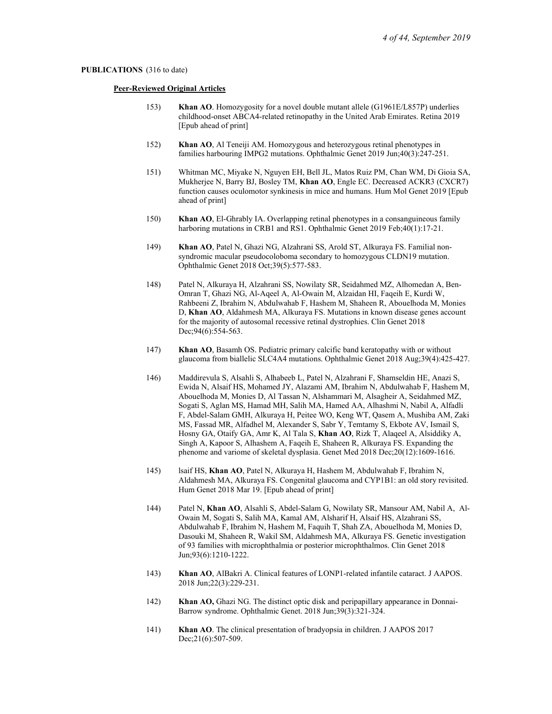### PUBLICATIONS (316 to date)

### Peer-Reviewed Original Articles

- 153) Khan AO. Homozygosity for a novel double mutant allele (G1961E/L857P) underlies childhood-onset ABCA4-related retinopathy in the United Arab Emirates. Retina 2019 [Epub ahead of print]
- 152) Khan AO, Al Teneiji AM. Homozygous and heterozygous retinal phenotypes in families harbouring IMPG2 mutations. Ophthalmic Genet 2019 Jun;40(3):247-251.
- 151) Whitman MC, Miyake N, Nguyen EH, Bell JL, Matos Ruiz PM, Chan WM, Di Gioia SA, Mukherjee N, Barry BJ, Bosley TM, Khan AO, Engle EC. Decreased ACKR3 (CXCR7) function causes oculomotor synkinesis in mice and humans. Hum Mol Genet 2019 [Epub ahead of print]
- 150) Khan AO, El-Ghrably IA. Overlapping retinal phenotypes in a consanguineous family harboring mutations in CRB1 and RS1. Ophthalmic Genet 2019 Feb; 40(1): 17-21.
- 149) Khan AO, Patel N, Ghazi NG, Alzahrani SS, Arold ST, Alkuraya FS. Familial nonsyndromic macular pseudocoloboma secondary to homozygous CLDN19 mutation. Ophthalmic Genet 2018 Oct;39(5):577-583.
- 148) Patel N, Alkuraya H, Alzahrani SS, Nowilaty SR, Seidahmed MZ, Alhomedan A, Ben-Omran T, Ghazi NG, Al-Aqeel A, Al-Owain M, Alzaidan HI, Faqeih E, Kurdi W, Rahbeeni Z, Ibrahim N, Abdulwahab F, Hashem M, Shaheen R, Abouelhoda M, Monies D, Khan AO, Aldahmesh MA, Alkuraya FS. Mutations in known disease genes account for the majority of autosomal recessive retinal dystrophies. Clin Genet 2018 Dec; 94(6): 554-563.
- 147) Khan AO, Basamh OS. Pediatric primary calcific band keratopathy with or without glaucoma from biallelic SLC4A4 mutations. Ophthalmic Genet 2018 Aug;39(4):425-427.
- 146) Maddirevula S, Alsahli S, Alhabeeb L, Patel N, Alzahrani F, Shamseldin HE, Anazi S, Ewida N, Alsaif HS, Mohamed JY, Alazami AM, Ibrahim N, Abdulwahab F, Hashem M, Abouelhoda M, Monies D, Al Tassan N, Alshammari M, Alsagheir A, Seidahmed MZ, Sogati S, Aglan MS, Hamad MH, Salih MA, Hamed AA, Alhashmi N, Nabil A, Alfadli F, Abdel-Salam GMH, Alkuraya H, Peitee WO, Keng WT, Qasem A, Mushiba AM, Zaki MS, Fassad MR, Alfadhel M, Alexander S, Sabr Y, Temtamy S, Ekbote AV, Ismail S, Hosny GA, Otaify GA, Amr K, Al Tala S, Khan AO, Rizk T, Alaqeel A, Alsiddiky A, Singh A, Kapoor S, Alhashem A, Faqeih E, Shaheen R, Alkuraya FS. Expanding the phenome and variome of skeletal dysplasia. Genet Med 2018 Dec;20(12):1609-1616.
- 145) lsaif HS, Khan AO, Patel N, Alkuraya H, Hashem M, Abdulwahab F, Ibrahim N, Aldahmesh MA, Alkuraya FS. Congenital glaucoma and CYP1B1: an old story revisited. Hum Genet 2018 Mar 19. [Epub ahead of print]
- 144) Patel N, Khan AO, Alsahli S, Abdel-Salam G, Nowilaty SR, Mansour AM, Nabil A, Al-Owain M, Sogati S, Salih MA, Kamal AM, Alsharif H, Alsaif HS, Alzahrani SS, Abdulwahab F, Ibrahim N, Hashem M, Faquih T, Shah ZA, Abouelhoda M, Monies D, Dasouki M, Shaheen R, Wakil SM, Aldahmesh MA, Alkuraya FS. Genetic investigation of 93 families with microphthalmia or posterior microphthalmos. Clin Genet 2018 Jun;93(6):1210-1222.
- 143) Khan AO, AlBakri A. Clinical features of LONP1-related infantile cataract. J AAPOS. 2018 Jun;22(3):229-231.
- 142) Khan AO, Ghazi NG. The distinct optic disk and peripapillary appearance in Donnai-Barrow syndrome. Ophthalmic Genet. 2018 Jun;39(3):321-324.
- 141) Khan AO. The clinical presentation of bradyopsia in children. J AAPOS 2017 Dec; 21(6): 507-509.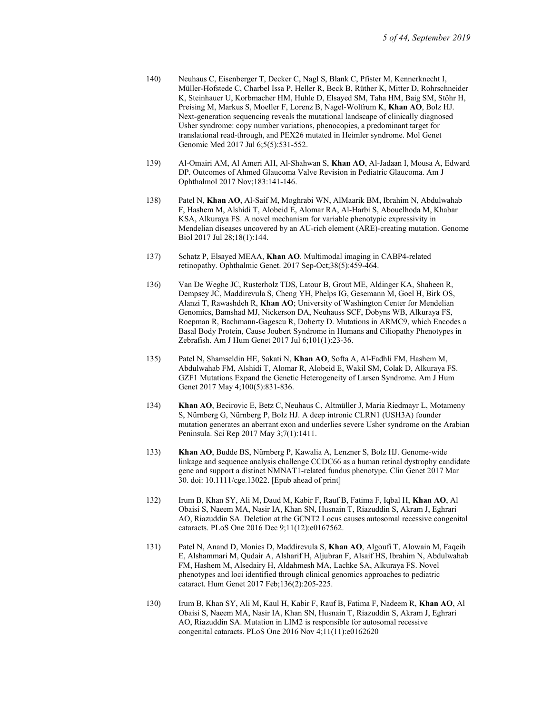- 140) Neuhaus C, Eisenberger T, Decker C, Nagl S, Blank C, Pfister M, Kennerknecht I, Müller-Hofstede C, Charbel Issa P, Heller R, Beck B, Rüther K, Mitter D, Rohrschneider K, Steinhauer U, Korbmacher HM, Huhle D, Elsayed SM, Taha HM, Baig SM, Stöhr H, Preising M, Markus S, Moeller F, Lorenz B, Nagel-Wolfrum K, Khan AO, Bolz HJ. Next-generation sequencing reveals the mutational landscape of clinically diagnosed Usher syndrome: copy number variations, phenocopies, a predominant target for translational read-through, and PEX26 mutated in Heimler syndrome. Mol Genet Genomic Med 2017 Jul 6;5(5):531-552.
- 139) Al-Omairi AM, Al Ameri AH, Al-Shahwan S, Khan AO, Al-Jadaan I, Mousa A, Edward DP. Outcomes of Ahmed Glaucoma Valve Revision in Pediatric Glaucoma. Am J Ophthalmol 2017 Nov;183:141-146.
- 138) Patel N, Khan AO, Al-Saif M, Moghrabi WN, AlMaarik BM, Ibrahim N, Abdulwahab F, Hashem M, Alshidi T, Alobeid E, Alomar RA, Al-Harbi S, Abouelhoda M, Khabar KSA, Alkuraya FS. A novel mechanism for variable phenotypic expressivity in Mendelian diseases uncovered by an AU-rich element (ARE)-creating mutation. Genome Biol 2017 Jul 28;18(1):144.
- 137) Schatz P, Elsayed MEAA, Khan AO. Multimodal imaging in CABP4-related retinopathy. Ophthalmic Genet. 2017 Sep-Oct;38(5):459-464.
- 136) Van De Weghe JC, Rusterholz TDS, Latour B, Grout ME, Aldinger KA, Shaheen R, Dempsey JC, Maddirevula S, Cheng YH, Phelps IG, Gesemann M, Goel H, Birk OS, Alanzi T, Rawashdeh R, Khan AO; University of Washington Center for Mendelian Genomics, Bamshad MJ, Nickerson DA, Neuhauss SCF, Dobyns WB, Alkuraya FS, Roepman R, Bachmann-Gagescu R, Doherty D. Mutations in ARMC9, which Encodes a Basal Body Protein, Cause Joubert Syndrome in Humans and Ciliopathy Phenotypes in Zebrafish. Am J Hum Genet 2017 Jul 6;101(1):23-36.
- 135) Patel N, Shamseldin HE, Sakati N, Khan AO, Softa A, Al-Fadhli FM, Hashem M, Abdulwahab FM, Alshidi T, Alomar R, Alobeid E, Wakil SM, Colak D, Alkuraya FS. GZF1 Mutations Expand the Genetic Heterogeneity of Larsen Syndrome. Am J Hum Genet 2017 May 4;100(5):831-836.
- 134) Khan AO, Becirovic E, Betz C, Neuhaus C, Altmüller J, Maria Riedmayr L, Motameny S, Nürnberg G, Nürnberg P, Bolz HJ. A deep intronic CLRN1 (USH3A) founder mutation generates an aberrant exon and underlies severe Usher syndrome on the Arabian Peninsula. Sci Rep 2017 May 3;7(1):1411.
- 133) Khan AO, Budde BS, Nürnberg P, Kawalia A, Lenzner S, Bolz HJ. Genome-wide linkage and sequence analysis challenge CCDC66 as a human retinal dystrophy candidate gene and support a distinct NMNAT1-related fundus phenotype. Clin Genet 2017 Mar 30. doi: 10.1111/cge.13022. [Epub ahead of print]
- 132) Irum B, Khan SY, Ali M, Daud M, Kabir F, Rauf B, Fatima F, Iqbal H, Khan AO, Al Obaisi S, Naeem MA, Nasir IA, Khan SN, Husnain T, Riazuddin S, Akram J, Eghrari AO, Riazuddin SA. Deletion at the GCNT2 Locus causes autosomal recessive congenital cataracts. PLoS One 2016 Dec 9;11(12):e0167562.
- 131) Patel N, Anand D, Monies D, Maddirevula S, Khan AO, Algoufi T, Alowain M, Faqeih E, Alshammari M, Qudair A, Alsharif H, Aljubran F, Alsaif HS, Ibrahim N, Abdulwahab FM, Hashem M, Alsedairy H, Aldahmesh MA, Lachke SA, Alkuraya FS. Novel phenotypes and loci identified through clinical genomics approaches to pediatric cataract. Hum Genet 2017 Feb;136(2):205-225.
- 130) Irum B, Khan SY, Ali M, Kaul H, Kabir F, Rauf B, Fatima F, Nadeem R, Khan AO, Al Obaisi S, Naeem MA, Nasir IA, Khan SN, Husnain T, Riazuddin S, Akram J, Eghrari AO, Riazuddin SA. Mutation in LIM2 is responsible for autosomal recessive congenital cataracts. PLoS One 2016 Nov 4;11(11):e0162620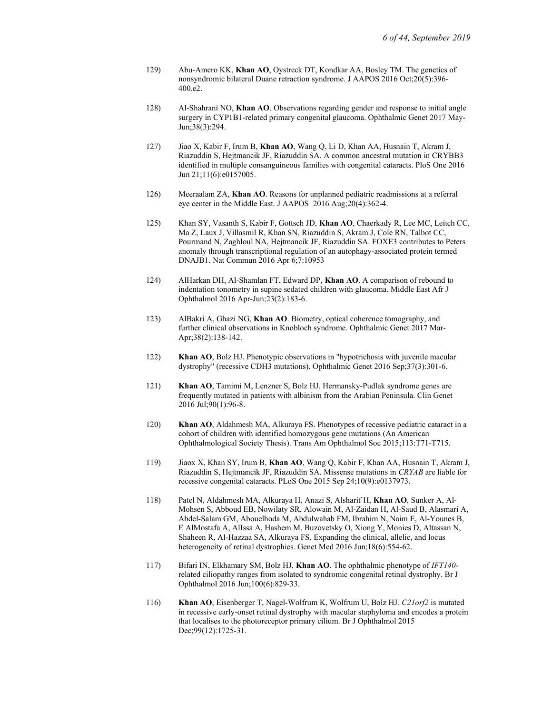- 129) Abu-Amero KK, Khan AO, Oystreck DT, Kondkar AA, Bosley TM. The genetics of nonsyndromic bilateral Duane retraction syndrome. J AAPOS 2016 Oct;20(5):396- 400.e2.
- 128) Al-Shahrani NO, Khan AO. Observations regarding gender and response to initial angle surgery in CYP1B1-related primary congenital glaucoma. Ophthalmic Genet 2017 May-Jun;38(3):294.
- 127) Jiao X, Kabir F, Irum B, Khan AO, Wang Q, Li D, Khan AA, Husnain T, Akram J, Riazuddin S, Hejtmancik JF, Riazuddin SA. A common ancestral mutation in CRYBB3 identified in multiple consanguineous families with congenital cataracts. PloS One 2016 Jun 21;11(6):e0157005.
- 126) Meeraalam ZA, Khan AO. Reasons for unplanned pediatric readmissions at a referral eye center in the Middle East. J AAPOS 2016 Aug;20(4):362-4.
- 125) Khan SY, Vasanth S, Kabir F, Gottsch JD, Khan AO, Chaerkady R, Lee MC, Leitch CC, Ma Z, Laux J, Villasmil R, Khan SN, Riazuddin S, Akram J, Cole RN, Talbot CC, Pourmand N, Zaghloul NA, Hejtmancik JF, Riazuddin SA. FOXE3 contributes to Peters anomaly through transcriptional regulation of an autophagy-associated protein termed DNAJB1. Nat Commun 2016 Apr 6;7:10953
- 124) AlHarkan DH, Al-Shamlan FT, Edward DP, Khan AO. A comparison of rebound to indentation tonometry in supine sedated children with glaucoma. Middle East Afr J Ophthalmol 2016 Apr-Jun;23(2):183-6.
- 123) AlBakri A, Ghazi NG, Khan AO. Biometry, optical coherence tomography, and further clinical observations in Knobloch syndrome. Ophthalmic Genet 2017 Mar-Apr;38(2):138-142.
- 122) Khan AO, Bolz HJ. Phenotypic observations in "hypotrichosis with juvenile macular dystrophy" (recessive CDH3 mutations). Ophthalmic Genet 2016 Sep;37(3):301-6.
- 121) Khan AO, Tamimi M, Lenzner S, Bolz HJ. Hermansky-Pudlak syndrome genes are frequently mutated in patients with albinism from the Arabian Peninsula. Clin Genet 2016 Jul;90(1):96-8.
- 120) Khan AO, Aldahmesh MA, Alkuraya FS. Phenotypes of recessive pediatric cataract in a cohort of children with identified homozygous gene mutations (An American Ophthalmological Society Thesis). Trans Am Ophthalmol Soc 2015;113:T71-T715.
- 119) Jiaox X, Khan SY, Irum B, Khan AO, Wang Q, Kabir F, Khan AA, Husnain T, Akram J, Riazuddin S, Hejtmancik JF, Riazuddin SA. Missense mutations in CRYAB are liable for recessive congenital cataracts. PLoS One 2015 Sep 24;10(9):e0137973.
- 118) Patel N, Aldahmesh MA, Alkuraya H, Anazi S, Alsharif H, Khan AO, Sunker A, Al-Mohsen S, Abboud EB, Nowilaty SR, Alowain M, Al-Zaidan H, Al-Saud B, Alasmari A, Abdel-Salam GM, Abouelhoda M, Abdulwahab FM, Ibrahim N, Naim E, Al-Younes B, E AlMostafa A, AlIssa A, Hashem M, Buzovetsky O, Xiong Y, Monies D, Altassan N, Shaheen R, Al-Hazzaa SA, Alkuraya FS. Expanding the clinical, allelic, and locus heterogeneity of retinal dystrophies. Genet Med 2016 Jun;18(6):554-62.
- 117) Bifari IN, Elkhamary SM, Bolz HJ, Khan AO. The ophthalmic phenotype of IFT140 related ciliopathy ranges from isolated to syndromic congenital retinal dystrophy. Br J Ophthalmol 2016 Jun;100(6):829-33.
- 116) Khan AO, Eisenberger T, Nagel-Wolfrum K, Wolfrum U, Bolz HJ. C21orf2 is mutated in recessive early-onset retinal dystrophy with macular staphyloma and encodes a protein that localises to the photoreceptor primary cilium. Br J Ophthalmol 2015 Dec; 99(12): 1725-31.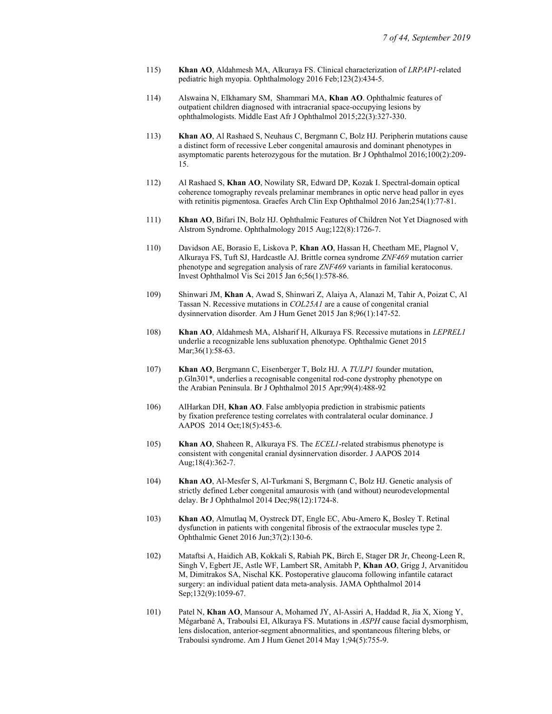- 115) Khan AO, Aldahmesh MA, Alkuraya FS. Clinical characterization of LRPAP1-related pediatric high myopia. Ophthalmology 2016 Feb;123(2):434-5.
- 114) Alswaina N, Elkhamary SM, Shammari MA, Khan AO. Ophthalmic features of outpatient children diagnosed with intracranial space-occupying lesions by ophthalmologists. Middle East Afr J Ophthalmol 2015;22(3):327-330.
- 113) Khan AO, Al Rashaed S, Neuhaus C, Bergmann C, Bolz HJ. Peripherin mutations cause a distinct form of recessive Leber congenital amaurosis and dominant phenotypes in asymptomatic parents heterozygous for the mutation. Br J Ophthalmol 2016;100(2):209- 15.
- 112) Al Rashaed S, Khan AO, Nowilaty SR, Edward DP, Kozak I. Spectral-domain optical coherence tomography reveals prelaminar membranes in optic nerve head pallor in eyes with retinitis pigmentosa. Graefes Arch Clin Exp Ophthalmol 2016 Jan;254(1):77-81.
- 111) Khan AO, Bifari IN, Bolz HJ. Ophthalmic Features of Children Not Yet Diagnosed with Alstrom Syndrome. Ophthalmology 2015 Aug;122(8):1726-7.
- 110) Davidson AE, Borasio E, Liskova P, Khan AO, Hassan H, Cheetham ME, Plagnol V, Alkuraya FS, Tuft SJ, Hardcastle AJ. Brittle cornea syndrome ZNF469 mutation carrier phenotype and segregation analysis of rare ZNF469 variants in familial keratoconus. Invest Ophthalmol Vis Sci 2015 Jan 6;56(1):578-86.
- 109) Shinwari JM, Khan A, Awad S, Shinwari Z, Alaiya A, Alanazi M, Tahir A, Poizat C, Al Tassan N. Recessive mutations in COL25A1 are a cause of congenital cranial dysinnervation disorder. Am J Hum Genet 2015 Jan 8;96(1):147-52.
- 108) Khan AO, Aldahmesh MA, Alsharif H, Alkuraya FS. Recessive mutations in LEPREL1 underlie a recognizable lens subluxation phenotype. Ophthalmic Genet 2015 Mar;36(1):58-63.
- 107) Khan AO, Bergmann C, Eisenberger T, Bolz HJ. A TULP1 founder mutation, p.Gln301\*, underlies a recognisable congenital rod-cone dystrophy phenotype on the Arabian Peninsula. Br J Ophthalmol 2015 Apr;99(4):488-92
- 106) AlHarkan DH, Khan AO. False amblyopia prediction in strabismic patients by fixation preference testing correlates with contralateral ocular dominance. J AAPOS 2014 Oct;18(5):453-6.
- 105) Khan AO, Shaheen R, Alkuraya FS. The *ECEL1*-related strabismus phenotype is consistent with congenital cranial dysinnervation disorder. J AAPOS 2014 Aug;18(4):362-7.
- 104) Khan AO, Al-Mesfer S, Al-Turkmani S, Bergmann C, Bolz HJ. Genetic analysis of strictly defined Leber congenital amaurosis with (and without) neurodevelopmental delay. Br J Ophthalmol 2014 Dec;98(12):1724-8.
- 103) Khan AO, Almutlaq M, Oystreck DT, Engle EC, Abu-Amero K, Bosley T. Retinal dysfunction in patients with congenital fibrosis of the extraocular muscles type 2. Ophthalmic Genet 2016 Jun;37(2):130-6.
- 102) Mataftsi A, Haidich AB, Kokkali S, Rabiah PK, Birch E, Stager DR Jr, Cheong-Leen R, Singh V, Egbert JE, Astle WF, Lambert SR, Amitabh P, Khan AO, Grigg J, Arvanitidou M, Dimitrakos SA, Nischal KK. Postoperative glaucoma following infantile cataract surgery: an individual patient data meta-analysis. JAMA Ophthalmol 2014 Sep;132(9):1059-67.
- 101) Patel N, Khan AO, Mansour A, Mohamed JY, Al-Assiri A, Haddad R, Jia X, Xiong Y, Mégarbané A, Traboulsi EI, Alkuraya FS. Mutations in ASPH cause facial dysmorphism, lens dislocation, anterior-segment abnormalities, and spontaneous filtering blebs, or Traboulsi syndrome. Am J Hum Genet 2014 May 1;94(5):755-9.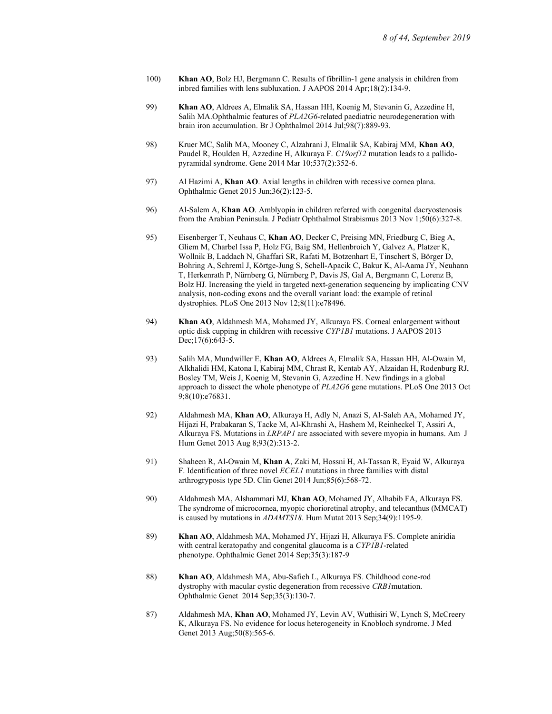- 100) Khan AO, Bolz HJ, Bergmann C. Results of fibrillin-1 gene analysis in children from inbred families with lens subluxation. J AAPOS 2014 Apr;18(2):134-9.
- 99) Khan AO, Aldrees A, Elmalik SA, Hassan HH, Koenig M, Stevanin G, Azzedine H, Salih MA.Ophthalmic features of PLA2G6-related paediatric neurodegeneration with brain iron accumulation. Br J Ophthalmol 2014 Jul;98(7):889-93.
- 98) Kruer MC, Salih MA, Mooney C, Alzahrani J, Elmalik SA, Kabiraj MM, Khan AO, Paudel R, Houlden H, Azzedine H, Alkuraya F. C19orf12 mutation leads to a pallidopyramidal syndrome. Gene 2014 Mar 10;537(2):352-6.
- 97) Al Hazimi A, Khan AO. Axial lengths in children with recessive cornea plana. Ophthalmic Genet 2015 Jun;36(2):123-5.
- 96) Al-Salem A, Khan AO. Amblyopia in children referred with congenital dacryostenosis from the Arabian Peninsula. J Pediatr Ophthalmol Strabismus 2013 Nov 1;50(6):327-8.
- 95) Eisenberger T, Neuhaus C, Khan AO, Decker C, Preising MN, Friedburg C, Bieg A, Gliem M, Charbel Issa P, Holz FG, Baig SM, Hellenbroich Y, Galvez A, Platzer K, Wollnik B, Laddach N, Ghaffari SR, Rafati M, Botzenhart E, Tinschert S, Börger D, Bohring A, Schreml J, Körtge-Jung S, Schell-Apacik C, Bakur K, Al-Aama JY, Neuhann T, Herkenrath P, Nürnberg G, Nürnberg P, Davis JS, Gal A, Bergmann C, Lorenz B, Bolz HJ. Increasing the yield in targeted next-generation sequencing by implicating CNV analysis, non-coding exons and the overall variant load: the example of retinal dystrophies. PLoS One 2013 Nov 12;8(11):e78496.
- 94) Khan AO, Aldahmesh MA, Mohamed JY, Alkuraya FS. Corneal enlargement without optic disk cupping in children with recessive CYP1B1 mutations. J AAPOS 2013 Dec;17(6):643-5.
- 93) Salih MA, Mundwiller E, Khan AO, Aldrees A, Elmalik SA, Hassan HH, Al-Owain M, Alkhalidi HM, Katona I, Kabiraj MM, Chrast R, Kentab AY, Alzaidan H, Rodenburg RJ, Bosley TM, Weis J, Koenig M, Stevanin G, Azzedine H. New findings in a global approach to dissect the whole phenotype of PLA2G6 gene mutations. PLoS One 2013 Oct 9;8(10):e76831.
- 92) Aldahmesh MA, Khan AO, Alkuraya H, Adly N, Anazi S, Al-Saleh AA, Mohamed JY, Hijazi H, Prabakaran S, Tacke M, Al-Khrashi A, Hashem M, Reinheckel T, Assiri A, Alkuraya FS. Mutations in LRPAP1 are associated with severe myopia in humans. Am J Hum Genet 2013 Aug 8;93(2):313-2.
- 91) Shaheen R, Al-Owain M, Khan A, Zaki M, Hossni H, Al-Tassan R, Eyaid W, Alkuraya F. Identification of three novel ECEL1 mutations in three families with distal arthrogryposis type 5D. Clin Genet 2014 Jun;85(6):568-72.
- 90) Aldahmesh MA, Alshammari MJ, Khan AO, Mohamed JY, Alhabib FA, Alkuraya FS. The syndrome of microcornea, myopic chorioretinal atrophy, and telecanthus (MMCAT) is caused by mutations in ADAMTS18. Hum Mutat 2013 Sep;34(9):1195-9.
- 89) Khan AO, Aldahmesh MA, Mohamed JY, Hijazi H, Alkuraya FS. Complete aniridia with central keratopathy and congenital glaucoma is a CYP1B1-related phenotype. Ophthalmic Genet 2014 Sep;35(3):187-9
- 88) Khan AO, Aldahmesh MA, Abu-Safieh L, Alkuraya FS. Childhood cone-rod dystrophy with macular cystic degeneration from recessive CRB1mutation. Ophthalmic Genet 2014 Sep;35(3):130-7.
- 87) Aldahmesh MA, Khan AO, Mohamed JY, Levin AV, Wuthisiri W, Lynch S, McCreery K, Alkuraya FS. No evidence for locus heterogeneity in Knobloch syndrome. J Med Genet 2013 Aug;50(8):565-6.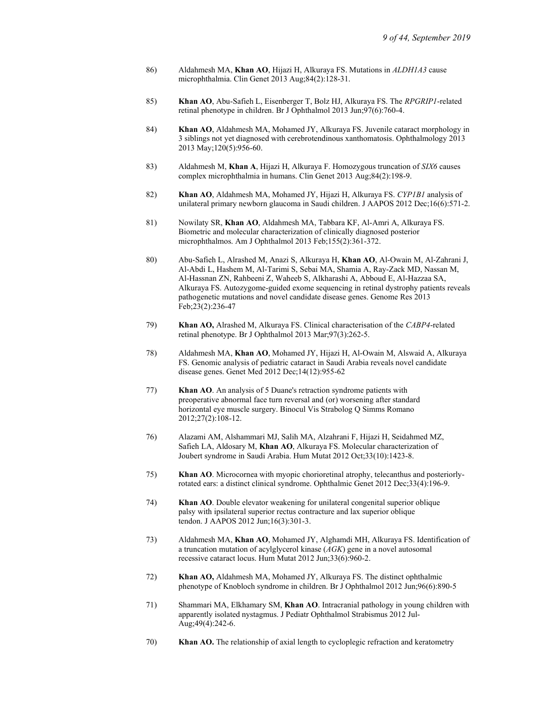- 86) Aldahmesh MA, Khan AO, Hijazi H, Alkuraya FS. Mutations in ALDH1A3 cause microphthalmia. Clin Genet 2013 Aug;84(2):128-31.
- 85) Khan AO, Abu-Safieh L, Eisenberger T, Bolz HJ, Alkuraya FS. The RPGRIP1-related retinal phenotype in children. Br J Ophthalmol 2013 Jun;97(6):760-4.
- 84) Khan AO, Aldahmesh MA, Mohamed JY, Alkuraya FS. Juvenile cataract morphology in 3 siblings not yet diagnosed with cerebrotendinous xanthomatosis. Ophthalmology 2013 2013 May;120(5):956-60.
- 83) Aldahmesh M, Khan A, Hijazi H, Alkuraya F. Homozygous truncation of SIX6 causes complex microphthalmia in humans. Clin Genet 2013 Aug;84(2):198-9.
- 82) Khan AO, Aldahmesh MA, Mohamed JY, Hijazi H, Alkuraya FS. CYP1B1 analysis of unilateral primary newborn glaucoma in Saudi children. J AAPOS 2012 Dec;16(6):571-2.
- 81) Nowilaty SR, Khan AO, Aldahmesh MA, Tabbara KF, Al-Amri A, Alkuraya FS. Biometric and molecular characterization of clinically diagnosed posterior microphthalmos. Am J Ophthalmol 2013 Feb;155(2):361-372.
- 80) Abu-Safieh L, Alrashed M, Anazi S, Alkuraya H, Khan AO, Al-Owain M, Al-Zahrani J, Al-Abdi L, Hashem M, Al-Tarimi S, Sebai MA, Shamia A, Ray-Zack MD, Nassan M, Al-Hassnan ZN, Rahbeeni Z, Waheeb S, Alkharashi A, Abboud E, Al-Hazzaa SA, Alkuraya FS. Autozygome-guided exome sequencing in retinal dystrophy patients reveals pathogenetic mutations and novel candidate disease genes. Genome Res 2013 Feb;23(2):236-47
- 79) Khan AO, Alrashed M, Alkuraya FS. Clinical characterisation of the CABP4-related retinal phenotype. Br J Ophthalmol 2013 Mar;97(3):262-5.
- 78) Aldahmesh MA, Khan AO, Mohamed JY, Hijazi H, Al-Owain M, Alswaid A, Alkuraya FS. Genomic analysis of pediatric cataract in Saudi Arabia reveals novel candidate disease genes. Genet Med 2012 Dec;14(12):955-62
- 77) Khan AO. An analysis of 5 Duane's retraction syndrome patients with preoperative abnormal face turn reversal and (or) worsening after standard horizontal eye muscle surgery. Binocul Vis Strabolog Q Simms Romano 2012;27(2):108-12.
- 76) Alazami AM, Alshammari MJ, Salih MA, Alzahrani F, Hijazi H, Seidahmed MZ, Safieh LA, Aldosary M, Khan AO, Alkuraya FS. Molecular characterization of Joubert syndrome in Saudi Arabia. Hum Mutat 2012 Oct;33(10):1423-8.
- 75) Khan AO. Microcornea with myopic chorioretinal atrophy, telecanthus and posteriorlyrotated ears: a distinct clinical syndrome. Ophthalmic Genet 2012 Dec;33(4):196-9.
- 74) Khan AO. Double elevator weakening for unilateral congenital superior oblique palsy with ipsilateral superior rectus contracture and lax superior oblique tendon. J AAPOS 2012 Jun;16(3):301-3.
- 73) Aldahmesh MA, Khan AO, Mohamed JY, Alghamdi MH, Alkuraya FS. Identification of a truncation mutation of acylglycerol kinase  $(AGK)$  gene in a novel autosomal recessive cataract locus. Hum Mutat 2012 Jun;33(6):960-2.
- 72) Khan AO, Aldahmesh MA, Mohamed JY, Alkuraya FS. The distinct ophthalmic phenotype of Knobloch syndrome in children. Br J Ophthalmol 2012 Jun;96(6):890-5
- 71) Shammari MA, Elkhamary SM, Khan AO. Intracranial pathology in young children with apparently isolated nystagmus. J Pediatr Ophthalmol Strabismus 2012 Jul-Aug;49(4):242-6.
- 70) Khan AO. The relationship of axial length to cycloplegic refraction and keratometry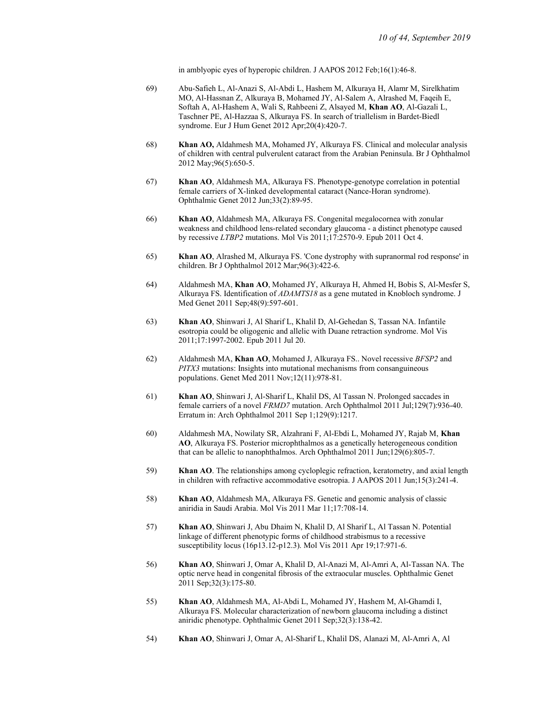in amblyopic eyes of hyperopic children. J AAPOS 2012 Feb;16(1):46-8.

- 69) Abu-Safieh L, Al-Anazi S, Al-Abdi L, Hashem M, Alkuraya H, Alamr M, Sirelkhatim MO, Al-Hassnan Z, Alkuraya B, Mohamed JY, Al-Salem A, Alrashed M, Faqeih E, Softah A, Al-Hashem A, Wali S, Rahbeeni Z, Alsayed M, Khan AO, Al-Gazali L, Taschner PE, Al-Hazzaa S, Alkuraya FS. In search of triallelism in Bardet-Biedl syndrome. Eur J Hum Genet 2012 Apr;20(4):420-7.
- 68) Khan AO, Aldahmesh MA, Mohamed JY, Alkuraya FS. Clinical and molecular analysis of children with central pulverulent cataract from the Arabian Peninsula. Br J Ophthalmol 2012 May;96(5):650-5.
- 67) Khan AO, Aldahmesh MA, Alkuraya FS. Phenotype-genotype correlation in potential female carriers of X-linked developmental cataract (Nance-Horan syndrome). Ophthalmic Genet 2012 Jun;33(2):89-95.
- 66) Khan AO, Aldahmesh MA, Alkuraya FS. Congenital megalocornea with zonular weakness and childhood lens-related secondary glaucoma - a distinct phenotype caused by recessive LTBP2 mutations. Mol Vis 2011;17:2570-9. Epub 2011 Oct 4.
- 65) Khan AO, Alrashed M, Alkuraya FS. 'Cone dystrophy with supranormal rod response' in children. Br J Ophthalmol 2012 Mar;96(3):422-6.
- 64) Aldahmesh MA, Khan AO, Mohamed JY, Alkuraya H, Ahmed H, Bobis S, Al-Mesfer S, Alkuraya FS. Identification of ADAMTS18 as a gene mutated in Knobloch syndrome. J Med Genet 2011 Sep;48(9):597-601.
- 63) Khan AO, Shinwari J, Al Sharif L, Khalil D, Al-Gehedan S, Tassan NA. Infantile esotropia could be oligogenic and allelic with Duane retraction syndrome. Mol Vis 2011;17:1997-2002. Epub 2011 Jul 20.
- 62) Aldahmesh MA, Khan AO, Mohamed J, Alkuraya FS.. Novel recessive BFSP2 and PITX3 mutations: Insights into mutational mechanisms from consanguineous populations. Genet Med 2011 Nov;12(11):978-81.
- 61) Khan AO, Shinwari J, Al-Sharif L, Khalil DS, Al Tassan N. Prolonged saccades in female carriers of a novel FRMD7 mutation. Arch Ophthalmol 2011 Jul;129(7):936-40. Erratum in: Arch Ophthalmol 2011 Sep 1;129(9):1217.
- 60) Aldahmesh MA, Nowilaty SR, Alzahrani F, Al-Ebdi L, Mohamed JY, Rajab M, Khan AO, Alkuraya FS. Posterior microphthalmos as a genetically heterogeneous condition that can be allelic to nanophthalmos. Arch Ophthalmol 2011 Jun;129(6):805-7.
- 59) Khan AO. The relationships among cycloplegic refraction, keratometry, and axial length in children with refractive accommodative esotropia. J AAPOS 2011 Jun;15(3):241-4.
- 58) Khan AO, Aldahmesh MA, Alkuraya FS. Genetic and genomic analysis of classic aniridia in Saudi Arabia. Mol Vis 2011 Mar 11;17:708-14.
- 57) Khan AO, Shinwari J, Abu Dhaim N, Khalil D, Al Sharif L, Al Tassan N. Potential linkage of different phenotypic forms of childhood strabismus to a recessive susceptibility locus (16p13.12-p12.3). Mol Vis 2011 Apr 19;17:971-6.
- 56) Khan AO, Shinwari J, Omar A, Khalil D, Al-Anazi M, Al-Amri A, Al-Tassan NA. The optic nerve head in congenital fibrosis of the extraocular muscles. Ophthalmic Genet 2011 Sep;32(3):175-80.
- 55) Khan AO, Aldahmesh MA, Al-Abdi L, Mohamed JY, Hashem M, Al-Ghamdi I, Alkuraya FS. Molecular characterization of newborn glaucoma including a distinct aniridic phenotype. Ophthalmic Genet 2011 Sep;32(3):138-42.
- 54) Khan AO, Shinwari J, Omar A, Al-Sharif L, Khalil DS, Alanazi M, Al-Amri A, Al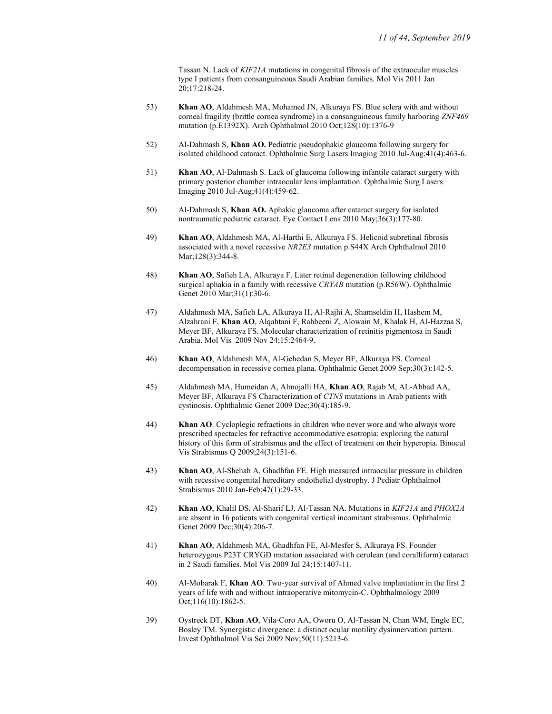Tassan N. Lack of KIF21A mutations in congenital fibrosis of the extraocular muscles type I patients from consanguineous Saudi Arabian families. Mol Vis 2011 Jan 20;17:218-24.

- 53) Khan AO, Aldahmesh MA, Mohamed JN, Alkuraya FS. Blue sclera with and without corneal fragility (brittle cornea syndrome) in a consanguineous family harboring ZNF469 mutation (p.E1392X). Arch Ophthalmol 2010 Oct;128(10):1376-9
- 52) Al-Dahmash S, Khan AO. Pediatric pseudophakic glaucoma following surgery for isolated childhood cataract. Ophthalmic Surg Lasers Imaging 2010 Jul-Aug;41(4):463-6.
- 51) Khan AO, Al-Dahmash S. Lack of glaucoma following infantile cataract surgery with primary posterior chamber intraocular lens implantation. Ophthalmic Surg Lasers Imaging 2010 Jul-Aug;41(4):459-62.
- 50) Al-Dahmash S, Khan AO. Aphakic glaucoma after cataract surgery for isolated nontraumatic pediatric cataract. Eye Contact Lens 2010 May;36(3):177-80.
- 49) Khan AO, Aldahmesh MA, Al-Harthi E, Alkuraya FS. Helicoid subretinal fibrosis associated with a novel recessive NR2E3 mutation p.S44X Arch Ophthalmol 2010 Mar;128(3):344-8.
- 48) Khan AO, Safieh LA, Alkuraya F. Later retinal degeneration following childhood surgical aphakia in a family with recessive *CRYAB* mutation (p.R56W). Ophthalmic Genet 2010 Mar;31(1):30-6.
- 47) Aldahmesh MA, Safieh LA, Alkuraya H, Al-Rajhi A, Shamseldin H, Hashem M, Alzahrani F, Khan AO, Alqahtani F, Rahbeeni Z, Alowain M, Khalak H, Al-Hazzaa S, Meyer BF, Alkuraya FS. Molecular characterization of retinitis pigmentosa in Saudi Arabia. Mol Vis 2009 Nov 24;15:2464-9.
- 46) Khan AO, Aldahmesh MA, Al-Gehedan S, Meyer BF, Alkuraya FS. Corneal decompensation in recessive cornea plana. Ophthalmic Genet 2009 Sep;30(3):142-5.
- 45) Aldahmesh MA, Humeidan A, Almojalli HA, Khan AO, Rajab M, AL-Abbad AA, Meyer BF, Alkuraya FS Characterization of CTNS mutations in Arab patients with cystinosis. Ophthalmic Genet 2009 Dec;30(4):185-9.
- 44) Khan AO. Cycloplegic refractions in children who never wore and who always wore prescribed spectacles for refractive accommodative esotropia: exploring the natural history of this form of strabismus and the effect of treatment on their hyperopia. Binocul Vis Strabismus Q 2009;24(3):151-6.
- 43) Khan AO, Al-Shehah A, Ghadhfan FE. High measured intraocular pressure in children with recessive congenital hereditary endothelial dystrophy. J Pediatr Ophthalmol Strabismus 2010 Jan-Feb;47(1):29-33.
- 42) Khan AO, Khalil DS, Al-Sharif LJ, Al-Tassan NA. Mutations in *KIF21A* and *PHOX2A* are absent in 16 patients with congenital vertical incomitant strabismus. Ophthalmic Genet 2009 Dec;30(4):206-7.
- 41) Khan AO, Aldahmesh MA, Ghadhfan FE, Al-Mesfer S, Alkuraya FS. Founder heterozygous P23T CRYGD mutation associated with cerulean (and coralliform) cataract in 2 Saudi families. Mol Vis 2009 Jul 24;15:1407-11.
- 40) Al-Mobarak F, Khan AO. Two-year survival of Ahmed valve implantation in the first 2 years of life with and without intraoperative mitomycin-C. Ophthalmology 2009 Oct;116(10):1862-5.
- 39) Oystreck DT, Khan AO, Vila-Coro AA, Oworu O, Al-Tassan N, Chan WM, Engle EC, Bosley TM. Synergistic divergence: a distinct ocular motility dysinnervation pattern. Invest Ophthalmol Vis Sci 2009 Nov;50(11):5213-6.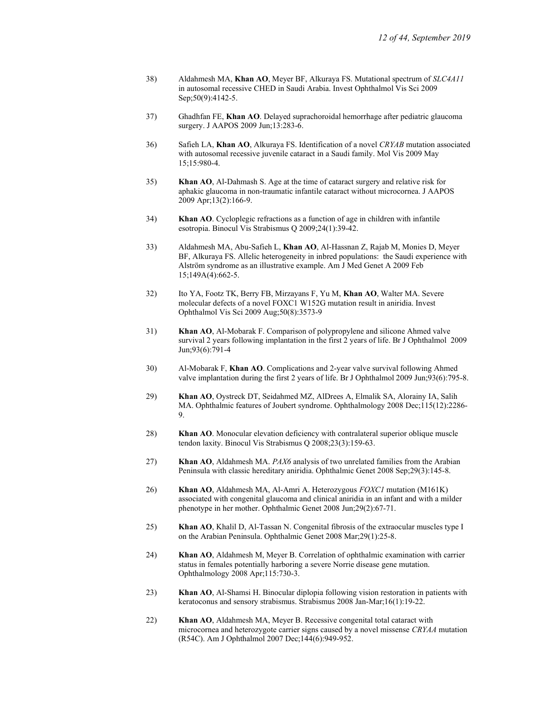- 38) Aldahmesh MA, Khan AO, Meyer BF, Alkuraya FS. Mutational spectrum of SLC4A11 in autosomal recessive CHED in Saudi Arabia. Invest Ophthalmol Vis Sci 2009 Sep;50(9):4142-5.
- 37) Ghadhfan FE, Khan AO. Delayed suprachoroidal hemorrhage after pediatric glaucoma surgery. J AAPOS 2009 Jun;13:283-6.
- 36) Safieh LA, Khan AO, Alkuraya FS. Identification of a novel CRYAB mutation associated with autosomal recessive juvenile cataract in a Saudi family. Mol Vis 2009 May 15;15:980-4.
- 35) Khan AO, Al-Dahmash S. Age at the time of cataract surgery and relative risk for aphakic glaucoma in non-traumatic infantile cataract without microcornea. J AAPOS 2009 Apr;13(2):166-9.
- 34) Khan AO. Cycloplegic refractions as a function of age in children with infantile esotropia. Binocul Vis Strabismus Q 2009;24(1):39-42.
- 33) Aldahmesh MA, Abu-Safieh L, Khan AO, Al-Hassnan Z, Rajab M, Monies D, Meyer BF, Alkuraya FS. Allelic heterogeneity in inbred populations: the Saudi experience with Alström syndrome as an illustrative example. Am J Med Genet A 2009 Feb 15;149A(4):662-5.
- 32) Ito YA, Footz TK, Berry FB, Mirzayans F, Yu M, Khan AO, Walter MA. Severe molecular defects of a novel FOXC1 W152G mutation result in aniridia. Invest Ophthalmol Vis Sci 2009 Aug;50(8):3573-9
- 31) Khan AO, Al-Mobarak F. Comparison of polypropylene and silicone Ahmed valve survival 2 years following implantation in the first 2 years of life. Br J Ophthalmol 2009 Jun;93(6):791-4
- 30) Al-Mobarak F, Khan AO. Complications and 2-year valve survival following Ahmed valve implantation during the first 2 years of life. Br J Ophthalmol 2009 Jun;93(6):795-8.
- 29) Khan AO, Oystreck DT, Seidahmed MZ, AlDrees A, Elmalik SA, Alorainy IA, Salih MA. Ophthalmic features of Joubert syndrome. Ophthalmology 2008 Dec;115(12):2286- 9.
- 28) Khan AO. Monocular elevation deficiency with contralateral superior oblique muscle tendon laxity. Binocul Vis Strabismus Q 2008;23(3):159-63.
- 27) Khan AO, Aldahmesh MA. PAX6 analysis of two unrelated families from the Arabian Peninsula with classic hereditary aniridia. Ophthalmic Genet 2008 Sep;29(3):145-8.
- 26) Khan AO, Aldahmesh MA, Al-Amri A. Heterozygous FOXC1 mutation (M161K) associated with congenital glaucoma and clinical aniridia in an infant and with a milder phenotype in her mother. Ophthalmic Genet 2008 Jun;29(2):67-71.
- 25) Khan AO, Khalil D, Al-Tassan N. Congenital fibrosis of the extraocular muscles type I on the Arabian Peninsula. Ophthalmic Genet 2008 Mar;29(1):25-8.
- 24) Khan AO, Aldahmesh M, Meyer B. Correlation of ophthalmic examination with carrier status in females potentially harboring a severe Norrie disease gene mutation. Ophthalmology 2008 Apr;115:730-3.
- 23) Khan AO, Al-Shamsi H. Binocular diplopia following vision restoration in patients with keratoconus and sensory strabismus. Strabismus 2008 Jan-Mar;16(1):19-22.
- 22) Khan AO, Aldahmesh MA, Meyer B. Recessive congenital total cataract with microcornea and heterozygote carrier signs caused by a novel missense CRYAA mutation (R54C). Am J Ophthalmol 2007 Dec;144(6):949-952.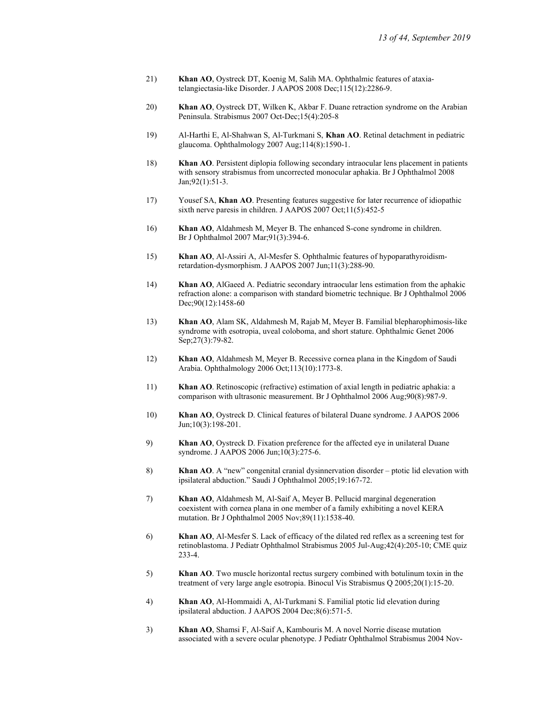- 21) Khan AO, Oystreck DT, Koenig M, Salih MA. Ophthalmic features of ataxiatelangiectasia-like Disorder. J AAPOS 2008 Dec;115(12):2286-9.
- 20) Khan AO, Oystreck DT, Wilken K, Akbar F. Duane retraction syndrome on the Arabian Peninsula. Strabismus 2007 Oct-Dec;15(4):205-8
- 19) Al-Harthi E, Al-Shahwan S, Al-Turkmani S, Khan AO. Retinal detachment in pediatric glaucoma. Ophthalmology 2007 Aug;114(8):1590-1.
- 18) Khan AO. Persistent diplopia following secondary intraocular lens placement in patients with sensory strabismus from uncorrected monocular aphakia. Br J Ophthalmol 2008 Jan;92(1):51-3.
- 17) Yousef SA, Khan AO. Presenting features suggestive for later recurrence of idiopathic sixth nerve paresis in children. J AAPOS 2007 Oct;11(5):452-5
- 16) Khan AO, Aldahmesh M, Meyer B. The enhanced S-cone syndrome in children. Br J Ophthalmol 2007 Mar;91(3):394-6.
- 15) Khan AO, Al-Assiri A, Al-Mesfer S. Ophthalmic features of hypoparathyroidismretardation-dysmorphism. J AAPOS 2007 Jun;11(3):288-90.
- 14) Khan AO, AlGaeed A. Pediatric secondary intraocular lens estimation from the aphakic refraction alone: a comparison with standard biometric technique. Br J Ophthalmol 2006 Dec;90(12):1458-60
- 13) Khan AO, Alam SK, Aldahmesh M, Rajab M, Meyer B. Familial blepharophimosis-like syndrome with esotropia, uveal coloboma, and short stature. Ophthalmic Genet 2006 Sep;27(3):79-82.
- 12) Khan AO, Aldahmesh M, Meyer B. Recessive cornea plana in the Kingdom of Saudi Arabia. Ophthalmology 2006 Oct;113(10):1773-8.
- 11) Khan AO. Retinoscopic (refractive) estimation of axial length in pediatric aphakia: a comparison with ultrasonic measurement. Br J Ophthalmol 2006 Aug;90(8):987-9.
- 10) Khan AO, Oystreck D. Clinical features of bilateral Duane syndrome. J AAPOS 2006 Jun;10(3):198-201.
- 9) Khan AO, Oystreck D. Fixation preference for the affected eye in unilateral Duane syndrome. J AAPOS 2006 Jun;10(3):275-6.
- 8) Khan AO. A "new" congenital cranial dysinnervation disorder ptotic lid elevation with ipsilateral abduction." Saudi J Ophthalmol 2005;19:167-72.
- 7) Khan AO, Aldahmesh M, Al-Saif A, Meyer B. Pellucid marginal degeneration coexistent with cornea plana in one member of a family exhibiting a novel KERA mutation. Br J Ophthalmol 2005 Nov;89(11):1538-40.
- 6) Khan AO, Al-Mesfer S. Lack of efficacy of the dilated red reflex as a screening test for retinoblastoma. J Pediatr Ophthalmol Strabismus 2005 Jul-Aug;42(4):205-10; CME quiz 233-4.
- 5) Khan AO. Two muscle horizontal rectus surgery combined with botulinum toxin in the treatment of very large angle esotropia. Binocul Vis Strabismus Q 2005;20(1):15-20.
- 4) Khan AO, Al-Hommaidi A, Al-Turkmani S. Familial ptotic lid elevation during ipsilateral abduction. J AAPOS 2004 Dec;8(6):571-5.
- 3) Khan AO, Shamsi F, Al-Saif A, Kambouris M. A novel Norrie disease mutation associated with a severe ocular phenotype. J Pediatr Ophthalmol Strabismus 2004 Nov-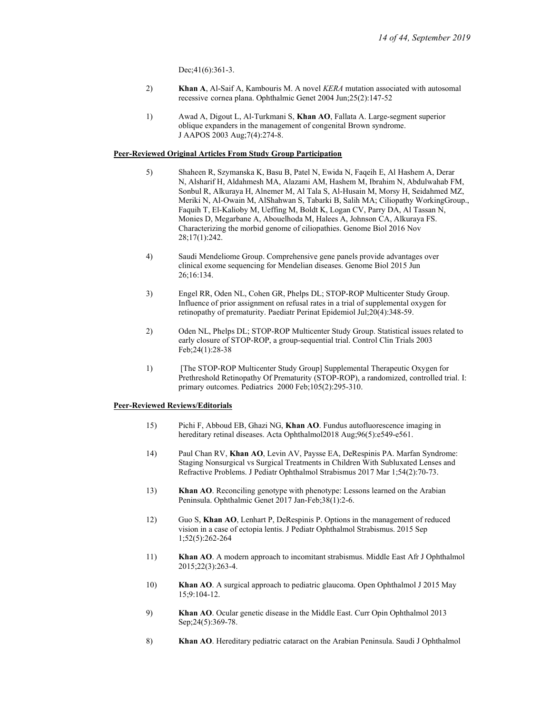Dec; 41(6): 361-3.

- 2) Khan A, Al-Saif A, Kambouris M. A novel KERA mutation associated with autosomal recessive cornea plana. Ophthalmic Genet 2004 Jun;25(2):147-52
- 1) Awad A, Digout L, Al-Turkmani S, Khan AO, Fallata A. Large-segment superior oblique expanders in the management of congenital Brown syndrome. J AAPOS 2003 Aug;7(4):274-8.

#### Peer-Reviewed Original Articles From Study Group Participation

- 5) Shaheen R, Szymanska K, Basu B, Patel N, Ewida N, Faqeih E, Al Hashem A, Derar N, Alsharif H, Aldahmesh MA, Alazami AM, Hashem M, Ibrahim N, Abdulwahab FM, Sonbul R, Alkuraya H, Alnemer M, Al Tala S, Al-Husain M, Morsy H, Seidahmed MZ, Meriki N, Al-Owain M, AlShahwan S, Tabarki B, Salih MA; Ciliopathy WorkingGroup., Faquih T, El-Kalioby M, Ueffing M, Boldt K, Logan CV, Parry DA, Al Tassan N, Monies D, Megarbane A, Abouelhoda M, Halees A, Johnson CA, Alkuraya FS. Characterizing the morbid genome of ciliopathies. Genome Biol 2016 Nov 28;17(1):242.
- 4) Saudi Mendeliome Group. Comprehensive gene panels provide advantages over clinical exome sequencing for Mendelian diseases. Genome Biol 2015 Jun 26;16:134.
- 3) Engel RR, Oden NL, Cohen GR, Phelps DL; STOP-ROP Multicenter Study Group. Influence of prior assignment on refusal rates in a trial of supplemental oxygen for retinopathy of prematurity. Paediatr Perinat Epidemiol Jul;20(4):348-59.
- 2) Oden NL, Phelps DL; STOP-ROP Multicenter Study Group. Statistical issues related to early closure of STOP-ROP, a group-sequential trial. Control Clin Trials 2003 Feb;24(1):28-38
- 1) [The STOP-ROP Multicenter Study Group] Supplemental Therapeutic Oxygen for Prethreshold Retinopathy Of Prematurity (STOP-ROP), a randomized, controlled trial. I: primary outcomes. Pediatrics 2000 Feb;105(2):295-310.

### Peer-Reviewed Reviews/Editorials

- 15) Pichi F, Abboud EB, Ghazi NG, Khan AO. Fundus autofluorescence imaging in hereditary retinal diseases. Acta Ophthalmol2018 Aug;96(5):e549-e561.
- 14) Paul Chan RV, Khan AO, Levin AV, Paysse EA, DeRespinis PA. Marfan Syndrome: Staging Nonsurgical vs Surgical Treatments in Children With Subluxated Lenses and Refractive Problems. J Pediatr Ophthalmol Strabismus 2017 Mar 1;54(2):70-73.
- 13) Khan AO. Reconciling genotype with phenotype: Lessons learned on the Arabian Peninsula. Ophthalmic Genet 2017 Jan-Feb;38(1):2-6.
- 12) Guo S, Khan AO, Lenhart P, DeRespinis P. Options in the management of reduced vision in a case of ectopia lentis. J Pediatr Ophthalmol Strabismus. 2015 Sep 1;52(5):262-264
- 11) Khan AO. A modern approach to incomitant strabismus. Middle East Afr J Ophthalmol 2015;22(3):263-4.
- 10) Khan AO. A surgical approach to pediatric glaucoma. Open Ophthalmol J 2015 May 15;9:104-12.
- 9) Khan AO. Ocular genetic disease in the Middle East. Curr Opin Ophthalmol 2013 Sep; 24(5): 369-78.
- 8) Khan AO. Hereditary pediatric cataract on the Arabian Peninsula. Saudi J Ophthalmol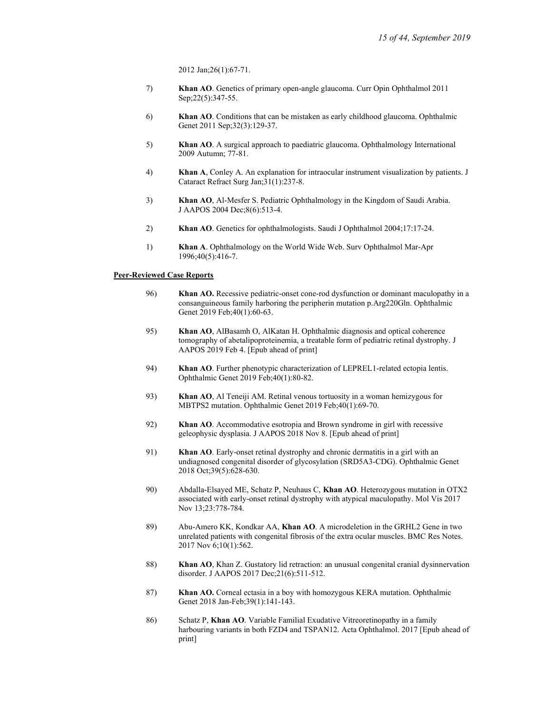2012 Jan;26(1):67-71.

- 7) Khan AO. Genetics of primary open-angle glaucoma. Curr Opin Ophthalmol 2011 Sep;22(5):347-55.
- 6) Khan AO. Conditions that can be mistaken as early childhood glaucoma. Ophthalmic Genet 2011 Sep;32(3):129-37.
- 5) Khan AO. A surgical approach to paediatric glaucoma. Ophthalmology International 2009 Autumn; 77-81.
- 4) Khan A, Conley A. An explanation for intraocular instrument visualization by patients. J Cataract Refract Surg Jan;31(1):237-8.
- 3) Khan AO, Al-Mesfer S. Pediatric Ophthalmology in the Kingdom of Saudi Arabia. J AAPOS 2004 Dec;8(6):513-4.
- 2) Khan AO. Genetics for ophthalmologists. Saudi J Ophthalmol 2004;17:17-24.
- 1) Khan A. Ophthalmology on the World Wide Web. Surv Ophthalmol Mar-Apr 1996;40(5):416-7.

#### Peer-Reviewed Case Reports

- 96) Khan AO. Recessive pediatric-onset cone-rod dysfunction or dominant maculopathy in a consanguineous family harboring the peripherin mutation p.Arg220Gln. Ophthalmic Genet 2019 Feb;40(1):60-63.
- 95) Khan AO, AlBasamh O, AlKatan H. Ophthalmic diagnosis and optical coherence tomography of abetalipoproteinemia, a treatable form of pediatric retinal dystrophy. J AAPOS 2019 Feb 4. [Epub ahead of print]
- 94) Khan AO. Further phenotypic characterization of LEPREL1-related ectopia lentis. Ophthalmic Genet 2019 Feb;40(1):80-82.
- 93) Khan AO, Al Teneiji AM. Retinal venous tortuosity in a woman hemizygous for MBTPS2 mutation. Ophthalmic Genet 2019 Feb;40(1):69-70.
- 92) Khan AO. Accommodative esotropia and Brown syndrome in girl with recessive geleophysic dysplasia. J AAPOS 2018 Nov 8. [Epub ahead of print]
- 91) Khan AO. Early-onset retinal dystrophy and chronic dermatitis in a girl with an undiagnosed congenital disorder of glycosylation (SRD5A3-CDG). Ophthalmic Genet 2018 Oct;39(5):628-630.
- 90) Abdalla-Elsayed ME, Schatz P, Neuhaus C, Khan AO. Heterozygous mutation in OTX2 associated with early-onset retinal dystrophy with atypical maculopathy. Mol Vis 2017 Nov 13;23:778-784.
- 89) Abu-Amero KK, Kondkar AA, Khan AO. A microdeletion in the GRHL2 Gene in two unrelated patients with congenital fibrosis of the extra ocular muscles. BMC Res Notes. 2017 Nov 6;10(1):562.
- 88) Khan AO, Khan Z. Gustatory lid retraction: an unusual congenital cranial dysinnervation disorder. J AAPOS 2017 Dec;21(6):511-512.
- 87) Khan AO. Corneal ectasia in a boy with homozygous KERA mutation. Ophthalmic Genet 2018 Jan-Feb;39(1):141-143.
- 86) Schatz P, Khan AO. Variable Familial Exudative Vitreoretinopathy in a family harbouring variants in both FZD4 and TSPAN12. Acta Ophthalmol. 2017 [Epub ahead of print]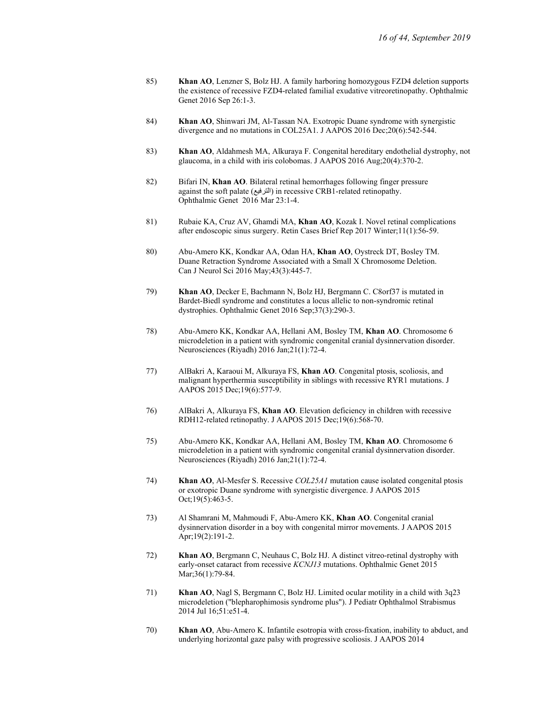- 85) Khan AO, Lenzner S, Bolz HJ. A family harboring homozygous FZD4 deletion supports the existence of recessive FZD4-related familial exudative vitreoretinopathy. Ophthalmic Genet 2016 Sep 26:1-3.
- 84) Khan AO, Shinwari JM, Al-Tassan NA. Exotropic Duane syndrome with synergistic divergence and no mutations in COL25A1. J AAPOS 2016 Dec;20(6):542-544.
- 83) Khan AO, Aldahmesh MA, Alkuraya F. Congenital hereditary endothelial dystrophy, not glaucoma, in a child with iris colobomas. J AAPOS 2016 Aug;20(4):370-2.
- 82) Bifari IN, Khan AO. Bilateral retinal hemorrhages following finger pressure against the soft palate (الترفيع) in recessive CRB1-related retinopathy. Ophthalmic Genet 2016 Mar 23:1-4.
- 81) Rubaie KA, Cruz AV, Ghamdi MA, Khan AO, Kozak I. Novel retinal complications after endoscopic sinus surgery. Retin Cases Brief Rep 2017 Winter;11(1):56-59.
- 80) Abu-Amero KK, Kondkar AA, Odan HA, Khan AO, Oystreck DT, Bosley TM. Duane Retraction Syndrome Associated with a Small X Chromosome Deletion. Can J Neurol Sci 2016 May;43(3):445-7.
- 79) Khan AO, Decker E, Bachmann N, Bolz HJ, Bergmann C. C8orf37 is mutated in Bardet-Biedl syndrome and constitutes a locus allelic to non-syndromic retinal dystrophies. Ophthalmic Genet 2016 Sep;37(3):290-3.
- 78) Abu-Amero KK, Kondkar AA, Hellani AM, Bosley TM, Khan AO. Chromosome 6 microdeletion in a patient with syndromic congenital cranial dysinnervation disorder. Neurosciences (Riyadh) 2016 Jan;21(1):72-4.
- 77) AlBakri A, Karaoui M, Alkuraya FS, Khan AO. Congenital ptosis, scoliosis, and malignant hyperthermia susceptibility in siblings with recessive RYR1 mutations. J AAPOS 2015 Dec;19(6):577-9.
- 76) AlBakri A, Alkuraya FS, Khan AO. Elevation deficiency in children with recessive RDH12-related retinopathy. J AAPOS 2015 Dec;19(6):568-70.
- 75) Abu-Amero KK, Kondkar AA, Hellani AM, Bosley TM, Khan AO. Chromosome 6 microdeletion in a patient with syndromic congenital cranial dysinnervation disorder. Neurosciences (Riyadh) 2016 Jan;21(1):72-4.
- 74) Khan AO, Al-Mesfer S. Recessive COL25A1 mutation cause isolated congenital ptosis or exotropic Duane syndrome with synergistic divergence. J AAPOS 2015 Oct;19(5):463-5.
- 73) Al Shamrani M, Mahmoudi F, Abu-Amero KK, Khan AO. Congenital cranial dysinnervation disorder in a boy with congenital mirror movements. J AAPOS 2015 Apr;19(2):191-2.
- 72) Khan AO, Bergmann C, Neuhaus C, Bolz HJ. A distinct vitreo-retinal dystrophy with early-onset cataract from recessive KCNJ13 mutations. Ophthalmic Genet 2015 Mar;36(1):79-84.
- 71) Khan AO, Nagl S, Bergmann C, Bolz HJ. Limited ocular motility in a child with 3q23 microdeletion ("blepharophimosis syndrome plus"). J Pediatr Ophthalmol Strabismus 2014 Jul 16;51:e51-4.
- 70) Khan AO, Abu-Amero K. Infantile esotropia with cross-fixation, inability to abduct, and underlying horizontal gaze palsy with progressive scoliosis. J AAPOS 2014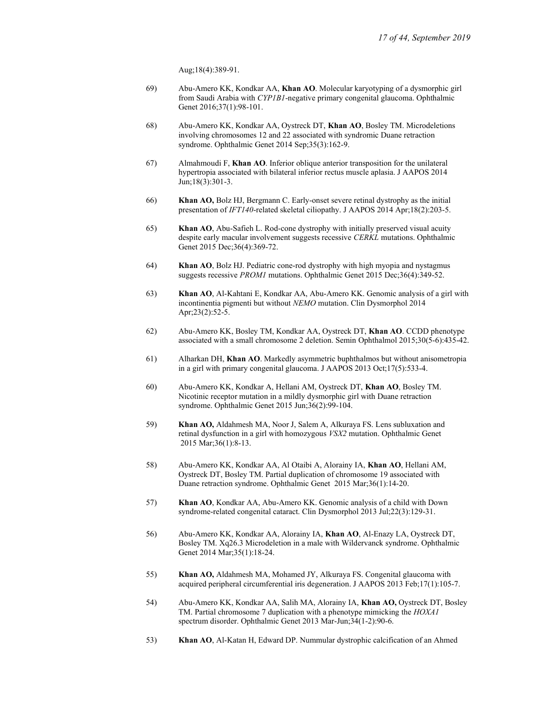Aug;18(4):389-91.

- 69) Abu-Amero KK, Kondkar AA, Khan AO. Molecular karyotyping of a dysmorphic girl from Saudi Arabia with CYP1B1-negative primary congenital glaucoma. Ophthalmic Genet 2016;37(1):98-101.
- 68) Abu-Amero KK, Kondkar AA, Oystreck DT, Khan AO, Bosley TM. Microdeletions involving chromosomes 12 and 22 associated with syndromic Duane retraction syndrome. Ophthalmic Genet 2014 Sep;35(3):162-9.
- 67) Almahmoudi F, Khan AO. Inferior oblique anterior transposition for the unilateral hypertropia associated with bilateral inferior rectus muscle aplasia. J AAPOS 2014 Jun;18(3):301-3.
- 66) Khan AO, Bolz HJ, Bergmann C. Early-onset severe retinal dystrophy as the initial presentation of IFT140-related skeletal ciliopathy. J AAPOS 2014 Apr;18(2):203-5.
- 65) Khan AO, Abu-Safieh L. Rod-cone dystrophy with initially preserved visual acuity despite early macular involvement suggests recessive CERKL mutations. Ophthalmic Genet 2015 Dec;36(4):369-72.
- 64) Khan AO, Bolz HJ. Pediatric cone-rod dystrophy with high myopia and nystagmus suggests recessive PROM1 mutations. Ophthalmic Genet 2015 Dec;36(4):349-52.
- 63) Khan AO, Al-Kahtani E, Kondkar AA, Abu-Amero KK. Genomic analysis of a girl with incontinentia pigmenti but without NEMO mutation. Clin Dysmorphol 2014 Apr;23(2):52-5.
- 62) Abu-Amero KK, Bosley TM, Kondkar AA, Oystreck DT, Khan AO. CCDD phenotype associated with a small chromosome 2 deletion. Semin Ophthalmol 2015;30(5-6):435-42.
- 61) Alharkan DH, Khan AO. Markedly asymmetric buphthalmos but without anisometropia in a girl with primary congenital glaucoma. J AAPOS 2013 Oct;17(5):533-4.
- 60) Abu-Amero KK, Kondkar A, Hellani AM, Oystreck DT, Khan AO, Bosley TM. Nicotinic receptor mutation in a mildly dysmorphic girl with Duane retraction syndrome. Ophthalmic Genet 2015 Jun;36(2):99-104.
- 59) Khan AO, Aldahmesh MA, Noor J, Salem A, Alkuraya FS. Lens subluxation and retinal dysfunction in a girl with homozygous VSX2 mutation. Ophthalmic Genet 2015 Mar;36(1):8-13.
- 58) Abu-Amero KK, Kondkar AA, Al Otaibi A, Alorainy IA, Khan AO, Hellani AM, Oystreck DT, Bosley TM. Partial duplication of chromosome 19 associated with Duane retraction syndrome. Ophthalmic Genet 2015 Mar;36(1):14-20.
- 57) Khan AO, Kondkar AA, Abu-Amero KK. Genomic analysis of a child with Down syndrome-related congenital cataract. Clin Dysmorphol 2013 Jul;22(3):129-31.
- 56) Abu-Amero KK, Kondkar AA, Alorainy IA, Khan AO, Al-Enazy LA, Oystreck DT, Bosley TM. Xq26.3 Microdeletion in a male with Wildervanck syndrome. Ophthalmic Genet 2014 Mar;35(1):18-24.
- 55) Khan AO, Aldahmesh MA, Mohamed JY, Alkuraya FS. Congenital glaucoma with acquired peripheral circumferential iris degeneration. J AAPOS 2013 Feb;17(1):105-7.
- 54) Abu-Amero KK, Kondkar AA, Salih MA, Alorainy IA, Khan AO, Oystreck DT, Bosley TM. Partial chromosome 7 duplication with a phenotype mimicking the HOXA1 spectrum disorder. Ophthalmic Genet 2013 Mar-Jun;34(1-2):90-6.
- 53) Khan AO, Al-Katan H, Edward DP. Nummular dystrophic calcification of an Ahmed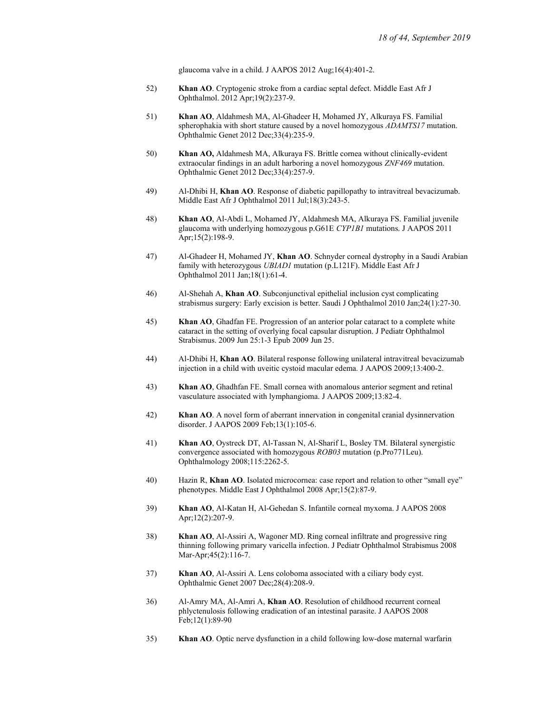glaucoma valve in a child. J AAPOS 2012 Aug;16(4):401-2.

- 52) Khan AO. Cryptogenic stroke from a cardiac septal defect. Middle East Afr J Ophthalmol. 2012 Apr;19(2):237-9.
- 51) Khan AO, Aldahmesh MA, Al-Ghadeer H, Mohamed JY, Alkuraya FS. Familial spherophakia with short stature caused by a novel homozygous *ADAMTS17* mutation. Ophthalmic Genet 2012 Dec;33(4):235-9.
- 50) Khan AO, Aldahmesh MA, Alkuraya FS. Brittle cornea without clinically-evident extraocular findings in an adult harboring a novel homozygous ZNF469 mutation. Ophthalmic Genet 2012 Dec;33(4):257-9.
- 49) Al-Dhibi H, Khan AO. Response of diabetic papillopathy to intravitreal bevacizumab. Middle East Afr J Ophthalmol 2011 Jul;18(3):243-5.
- 48) Khan AO, Al-Abdi L, Mohamed JY, Aldahmesh MA, Alkuraya FS. Familial juvenile glaucoma with underlying homozygous p.G61E CYP1B1 mutations. J AAPOS 2011 Apr;15(2):198-9.
- 47) Al-Ghadeer H, Mohamed JY, Khan AO. Schnyder corneal dystrophy in a Saudi Arabian family with heterozygous UBIAD1 mutation (p.L121F). Middle East Afr J Ophthalmol 2011 Jan;18(1):61-4.
- 46) Al-Shehah A, Khan AO. Subconjunctival epithelial inclusion cyst complicating strabismus surgery: Early excision is better. Saudi J Ophthalmol 2010 Jan;24(1):27-30.
- 45) Khan AO, Ghadfan FE. Progression of an anterior polar cataract to a complete white cataract in the setting of overlying focal capsular disruption. J Pediatr Ophthalmol Strabismus. 2009 Jun 25:1-3 Epub 2009 Jun 25.
- 44) Al-Dhibi H, Khan AO. Bilateral response following unilateral intravitreal bevacizumab injection in a child with uveitic cystoid macular edema. J AAPOS 2009;13:400-2.
- 43) Khan AO, Ghadhfan FE. Small cornea with anomalous anterior segment and retinal vasculature associated with lymphangioma. J AAPOS 2009;13:82-4.
- 42) Khan AO. A novel form of aberrant innervation in congenital cranial dysinnervation disorder. J AAPOS 2009 Feb;13(1):105-6.
- 41) Khan AO, Oystreck DT, Al-Tassan N, Al-Sharif L, Bosley TM. Bilateral synergistic convergence associated with homozygous ROB03 mutation (p.Pro771Leu). Ophthalmology 2008;115:2262-5.
- 40) Hazin R, Khan AO. Isolated microcornea: case report and relation to other "small eye" phenotypes. Middle East J Ophthalmol 2008 Apr;15(2):87-9.
- 39) Khan AO, Al-Katan H, Al-Gehedan S. Infantile corneal myxoma. J AAPOS 2008 Apr;12(2):207-9.
- 38) Khan AO, Al-Assiri A, Wagoner MD. Ring corneal infiltrate and progressive ring thinning following primary varicella infection. J Pediatr Ophthalmol Strabismus 2008 Mar-Apr;45(2):116-7.
- 37) Khan AO, Al-Assiri A. Lens coloboma associated with a ciliary body cyst. Ophthalmic Genet 2007 Dec;28(4):208-9.
- 36) Al-Amry MA, Al-Amri A, Khan AO. Resolution of childhood recurrent corneal phlyctenulosis following eradication of an intestinal parasite. J AAPOS 2008 Feb;12(1):89-90
- 35) Khan AO. Optic nerve dysfunction in a child following low-dose maternal warfarin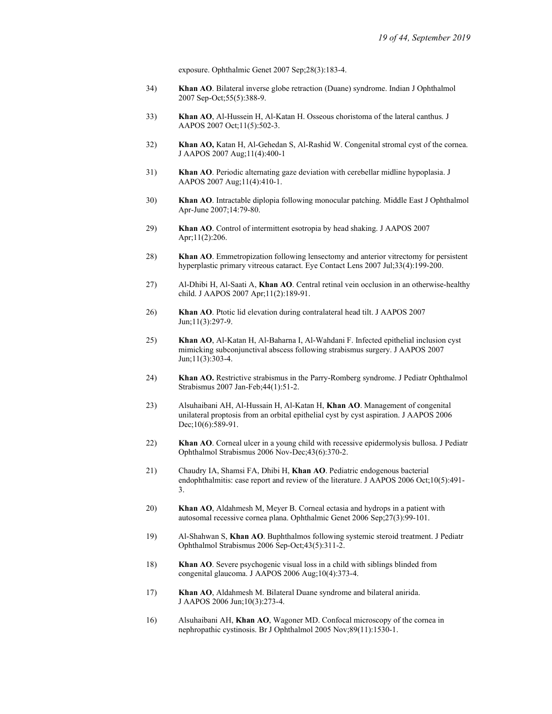exposure. Ophthalmic Genet 2007 Sep;28(3):183-4.

- 34) Khan AO. Bilateral inverse globe retraction (Duane) syndrome. Indian J Ophthalmol 2007 Sep-Oct;55(5):388-9.
- 33) Khan AO, Al-Hussein H, Al-Katan H. Osseous choristoma of the lateral canthus. J AAPOS 2007 Oct;11(5):502-3.
- 32) Khan AO, Katan H, Al-Gehedan S, Al-Rashid W. Congenital stromal cyst of the cornea. J AAPOS 2007 Aug;11(4):400-1
- 31) Khan AO. Periodic alternating gaze deviation with cerebellar midline hypoplasia. J AAPOS 2007 Aug;11(4):410-1.
- 30) Khan AO. Intractable diplopia following monocular patching. Middle East J Ophthalmol Apr-June 2007;14:79-80.
- 29) Khan AO. Control of intermittent esotropia by head shaking. J AAPOS 2007 Apr;11(2):206.
- 28) Khan AO. Emmetropization following lensectomy and anterior vitrectomy for persistent hyperplastic primary vitreous cataract. Eye Contact Lens 2007 Jul;33(4):199-200.
- 27) Al-Dhibi H, Al-Saati A, Khan AO. Central retinal vein occlusion in an otherwise-healthy child. J AAPOS 2007 Apr;11(2):189-91.
- 26) Khan AO. Ptotic lid elevation during contralateral head tilt. J AAPOS 2007 Jun;11(3):297-9.
- 25) Khan AO, Al-Katan H, Al-Baharna I, Al-Wahdani F. Infected epithelial inclusion cyst mimicking subconjunctival abscess following strabismus surgery. J AAPOS 2007 Jun;11(3):303-4.
- 24) Khan AO. Restrictive strabismus in the Parry-Romberg syndrome. J Pediatr Ophthalmol Strabismus 2007 Jan-Feb;44(1):51-2.
- 23) Alsuhaibani AH, Al-Hussain H, Al-Katan H, Khan AO. Management of congenital unilateral proptosis from an orbital epithelial cyst by cyst aspiration. J AAPOS 2006 Dec;10(6):589-91.
- 22) Khan AO. Corneal ulcer in a young child with recessive epidermolysis bullosa. J Pediatr Ophthalmol Strabismus 2006 Nov-Dec;43(6):370-2.
- 21) Chaudry IA, Shamsi FA, Dhibi H, Khan AO. Pediatric endogenous bacterial endophthalmitis: case report and review of the literature. J AAPOS 2006 Oct;10(5):491- 3.
- 20) Khan AO, Aldahmesh M, Meyer B. Corneal ectasia and hydrops in a patient with autosomal recessive cornea plana. Ophthalmic Genet 2006 Sep;27(3):99-101.
- 19) Al-Shahwan S, Khan AO. Buphthalmos following systemic steroid treatment. J Pediatr Ophthalmol Strabismus 2006 Sep-Oct;43(5):311-2.
- 18) Khan AO. Severe psychogenic visual loss in a child with siblings blinded from congenital glaucoma. J AAPOS 2006 Aug;10(4):373-4.
- 17) Khan AO, Aldahmesh M. Bilateral Duane syndrome and bilateral anirida. J AAPOS 2006 Jun;10(3):273-4.
- 16) Alsuhaibani AH, Khan AO, Wagoner MD. Confocal microscopy of the cornea in nephropathic cystinosis. Br J Ophthalmol 2005 Nov;89(11):1530-1.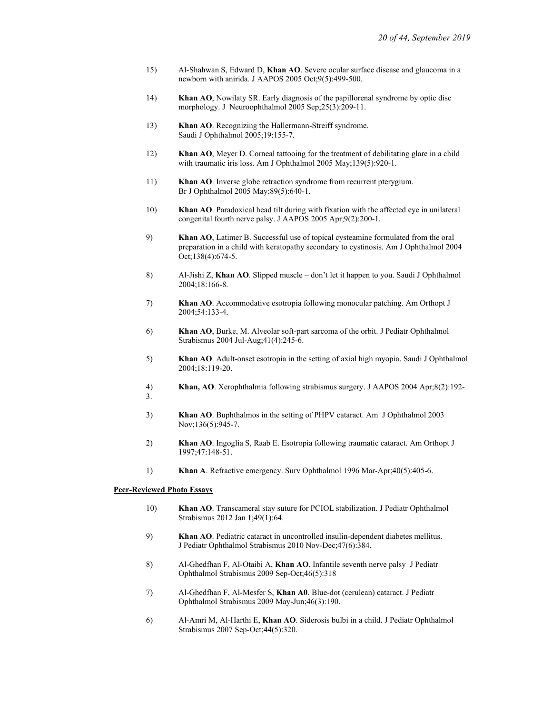- 15) Al-Shahwan S, Edward D, Khan AO. Severe ocular surface disease and glaucoma in a newborn with anirida. J AAPOS 2005 Oct;9(5):499-500.
- 14) Khan AO, Nowilaty SR. Early diagnosis of the papillorenal syndrome by optic disc morphology. J Neuroophthalmol 2005 Sep;25(3):209-11.
- 13) Khan AO. Recognizing the Hallermann-Streiff syndrome. Saudi J Ophthalmol 2005;19:155-7.
- 12) Khan AO, Meyer D. Corneal tattooing for the treatment of debilitating glare in a child with traumatic iris loss. Am J Ophthalmol 2005 May;139(5):920-1.
- 11) Khan AO. Inverse globe retraction syndrome from recurrent pterygium. Br J Ophthalmol 2005 May;89(5):640-1.
- 10) Khan AO. Paradoxical head tilt during with fixation with the affected eye in unilateral congenital fourth nerve palsy. J AAPOS 2005 Apr;9(2):200-1.
- 9) Khan AO, Latimer B. Successful use of topical cysteamine formulated from the oral preparation in a child with keratopathy secondary to cystinosis. Am J Ophthalmol 2004 Oct;138(4):674-5.
- 8) Al-Jishi Z, Khan AO. Slipped muscle don't let it happen to you. Saudi J Ophthalmol 2004;18:166-8.
- 7) Khan AO. Accommodative esotropia following monocular patching. Am Orthopt J 2004;54:133-4.
- 6) Khan AO, Burke, M. Alveolar soft-part sarcoma of the orbit. J Pediatr Ophthalmol Strabismus 2004 Jul-Aug;41(4):245-6.
- 5) Khan AO. Adult-onset esotropia in the setting of axial high myopia. Saudi J Ophthalmol 2004;18:119-20.
- 4) Khan, AO. Xerophthalmia following strabismus surgery. J AAPOS 2004 Apr;8(2):192- 3.
- 3) Khan AO. Buphthalmos in the setting of PHPV cataract. Am J Ophthalmol 2003 Nov;136(5):945-7.
- 2) Khan AO. Ingoglia S, Raab E. Esotropia following traumatic cataract. Am Orthopt J 1997;47:148-51.
- 1) Khan A. Refractive emergency. Surv Ophthalmol 1996 Mar-Apr;40(5):405-6.

#### Peer-Reviewed Photo Essays

- 10) Khan AO. Transcameral stay suture for PCIOL stabilization. J Pediatr Ophthalmol Strabismus 2012 Jan 1;49(1):64.
- 9) Khan AO. Pediatric cataract in uncontrolled insulin-dependent diabetes mellitus. J Pediatr Ophthalmol Strabismus 2010 Nov-Dec;47(6):384.
- 8) Al-Ghedfhan F, Al-Otaibi A, Khan AO. Infantile seventh nerve palsy J Pediatr Ophthalmol Strabismus 2009 Sep-Oct;46(5):318
- 7) Al-Ghedfhan F, Al-Mesfer S, Khan A0. Blue-dot (cerulean) cataract. J Pediatr Ophthalmol Strabismus 2009 May-Jun;46(3):190.
- 6) Al-Amri M, Al-Harthi E, Khan AO. Siderosis bulbi in a child. J Pediatr Ophthalmol Strabismus 2007 Sep-Oct;44(5):320.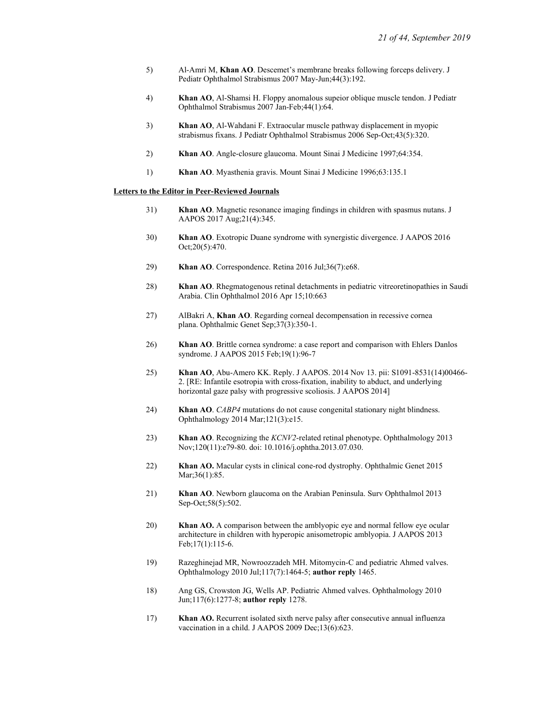- 5) Al-Amri M, Khan AO. Descemet's membrane breaks following forceps delivery. J Pediatr Ophthalmol Strabismus 2007 May-Jun;44(3):192.
- 4) Khan AO, Al-Shamsi H. Floppy anomalous supeior oblique muscle tendon. J Pediatr Ophthalmol Strabismus 2007 Jan-Feb;44(1):64.
- 3) Khan AO, Al-Wahdani F. Extraocular muscle pathway displacement in myopic strabismus fixans. J Pediatr Ophthalmol Strabismus 2006 Sep-Oct;43(5):320.
- 2) Khan AO. Angle-closure glaucoma. Mount Sinai J Medicine 1997;64:354.
- 1) Khan AO. Myasthenia gravis. Mount Sinai J Medicine 1996;63:135.1

#### Letters to the Editor in Peer-Reviewed Journals

- 31) Khan AO. Magnetic resonance imaging findings in children with spasmus nutans. J AAPOS 2017 Aug;21(4):345.
- 30) Khan AO. Exotropic Duane syndrome with synergistic divergence. J AAPOS 2016 Oct;20(5):470.
- 29) Khan AO. Correspondence. Retina 2016 Jul;36(7):e68.
- 28) Khan AO. Rhegmatogenous retinal detachments in pediatric vitreoretinopathies in Saudi Arabia. Clin Ophthalmol 2016 Apr 15;10:663
- 27) AlBakri A, Khan AO. Regarding corneal decompensation in recessive cornea plana. Ophthalmic Genet Sep;37(3):350-1.
- 26) Khan AO. Brittle cornea syndrome: a case report and comparison with Ehlers Danlos syndrome. J AAPOS 2015 Feb;19(1):96-7
- 25) Khan AO, Abu-Amero KK. Reply. J AAPOS. 2014 Nov 13. pii: S1091-8531(14)00466- 2. [RE: Infantile esotropia with cross-fixation, inability to abduct, and underlying horizontal gaze palsy with progressive scoliosis. J AAPOS 2014]
- 24) Khan AO. CABP4 mutations do not cause congenital stationary night blindness. Ophthalmology 2014 Mar;121(3):e15.
- 23) Khan AO. Recognizing the *KCNV2*-related retinal phenotype. Ophthalmology 2013 Nov;120(11):e79-80. doi: 10.1016/j.ophtha.2013.07.030.
- 22) Khan AO. Macular cysts in clinical cone-rod dystrophy. Ophthalmic Genet 2015 Mar;36(1):85.
- 21) Khan AO. Newborn glaucoma on the Arabian Peninsula. Surv Ophthalmol 2013 Sep-Oct;58(5):502.
- 20) Khan AO. A comparison between the amblyopic eye and normal fellow eye ocular architecture in children with hyperopic anisometropic amblyopia. J AAPOS 2013 Feb;17(1):115-6.
- 19) Razeghinejad MR, Nowroozzadeh MH. Mitomycin-C and pediatric Ahmed valves. Ophthalmology 2010 Jul;117(7):1464-5; author reply 1465.
- 18) Ang GS, Crowston JG, Wells AP. Pediatric Ahmed valves. Ophthalmology 2010 Jun;117(6):1277-8; author reply 1278.
- 17) Khan AO. Recurrent isolated sixth nerve palsy after consecutive annual influenza vaccination in a child. J AAPOS 2009 Dec;13(6):623.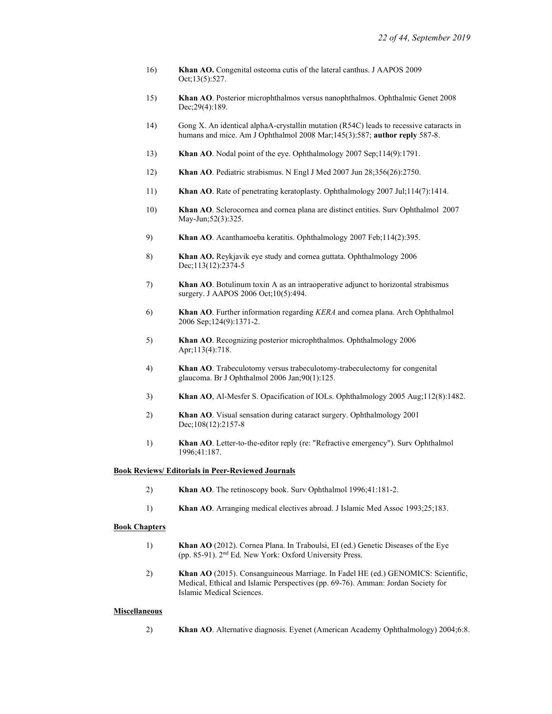- 16) Khan AO. Congenital osteoma cutis of the lateral canthus. J AAPOS 2009 Oct;13(5):527.
- 15) Khan AO. Posterior microphthalmos versus nanophthalmos. Ophthalmic Genet 2008 Dec;29(4):189.
- 14) Gong X. An identical alphaA-crystallin mutation (R54C) leads to recessive cataracts in humans and mice. Am J Ophthalmol 2008 Mar; 145(3): 587; author reply 587-8.
- 13) Khan AO. Nodal point of the eye. Ophthalmology 2007 Sep;114(9):1791.
- 12) Khan AO. Pediatric strabismus. N Engl J Med 2007 Jun 28;356(26):2750.
- 11) Khan AO. Rate of penetrating keratoplasty. Ophthalmology 2007 Jul;114(7):1414.
- 10) Khan AO. Sclerocornea and cornea plana are distinct entities. Surv Ophthalmol 2007 May-Jun;52(3):325.
- 9) Khan AO. Acanthamoeba keratitis. Ophthalmology 2007 Feb;114(2):395.
- 8) Khan AO. Reykjavik eye study and cornea guttata. Ophthalmology 2006 Dec;113(12):2374-5
- 7) Khan AO. Botulinum toxin A as an intraoperative adjunct to horizontal strabismus surgery. J AAPOS 2006 Oct; 10(5): 494.
- 6) Khan AO. Further information regarding KERA and cornea plana. Arch Ophthalmol 2006 Sep;124(9):1371-2.
- 5) Khan AO. Recognizing posterior microphthalmos. Ophthalmology 2006 Apr;113(4):718.
- 4) Khan AO. Trabeculotomy versus trabeculotomy-trabeculectomy for congenital glaucoma. Br J Ophthalmol 2006 Jan;90(1):125.
- 3) Khan AO, Al-Mesfer S. Opacification of IOLs. Ophthalmology 2005 Aug;112(8):1482.
- 2) Khan AO. Visual sensation during cataract surgery. Ophthalmology 2001 Dec;108(12):2157-8
- 1) Khan AO. Letter-to-the-editor reply (re: "Refractive emergency"). Surv Ophthalmol 1996;41:187.

#### Book Reviews/ Editorials in Peer-Reviewed Journals

- 2) Khan AO. The retinoscopy book. Surv Ophthalmol 1996;41:181-2.
- 1) Khan AO. Arranging medical electives abroad. J Islamic Med Assoc 1993;25;183.

#### Book Chapters

- 1) Khan AO (2012). Cornea Plana. In Traboulsi, EI (ed.) Genetic Diseases of the Eye (pp. 85-91). 2nd Ed. New York: Oxford University Press.
- 2) Khan AO (2015). Consanguineous Marriage. In Fadel HE (ed.) GENOMICS: Scientific, Medical, Ethical and Islamic Perspectives (pp. 69-76). Amman: Jordan Society for Islamic Medical Sciences.

#### **Miscellaneous**

2) Khan AO. Alternative diagnosis. Eyenet (American Academy Ophthalmology) 2004;6:8.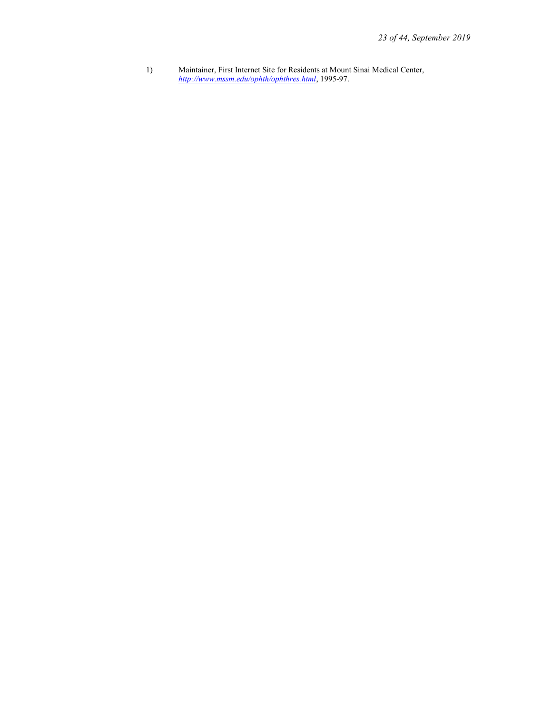1) Maintainer, First Internet Site for Residents at Mount Sinai Medical Center, http://www.mssm.edu/ophth/ophthres.html, 1995-97.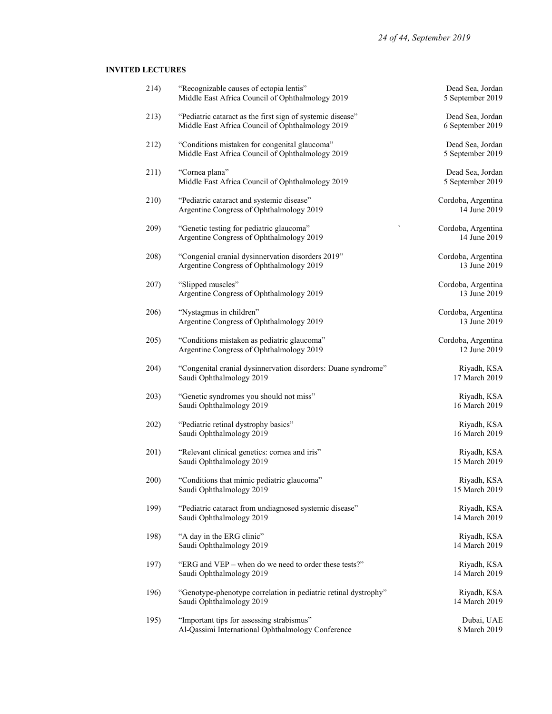## INVITED LECTURES

| 214) | "Recognizable causes of ectopia lentis"<br>Middle East Africa Council of Ophthalmology 2019                    | Dead Sea, Jordan<br>5 September 2019 |
|------|----------------------------------------------------------------------------------------------------------------|--------------------------------------|
| 213) | "Pediatric cataract as the first sign of systemic disease"<br>Middle East Africa Council of Ophthalmology 2019 | Dead Sea, Jordan<br>6 September 2019 |
| 212) | "Conditions mistaken for congenital glaucoma"<br>Middle East Africa Council of Ophthalmology 2019              | Dead Sea, Jordan<br>5 September 2019 |
| 211) | "Cornea plana"<br>Middle East Africa Council of Ophthalmology 2019                                             | Dead Sea, Jordan<br>5 September 2019 |
| 210) | "Pediatric cataract and systemic disease"<br>Argentine Congress of Ophthalmology 2019                          | Cordoba, Argentina<br>14 June 2019   |
| 209) | "Genetic testing for pediatric glaucoma"<br>Argentine Congress of Ophthalmology 2019                           | Cordoba, Argentina<br>14 June 2019   |
| 208) | "Congenial cranial dysinnervation disorders 2019"<br>Argentine Congress of Ophthalmology 2019                  | Cordoba, Argentina<br>13 June 2019   |
| 207) | "Slipped muscles"<br>Argentine Congress of Ophthalmology 2019                                                  | Cordoba, Argentina<br>13 June 2019   |
| 206) | "Nystagmus in children"<br>Argentine Congress of Ophthalmology 2019                                            | Cordoba, Argentina<br>13 June 2019   |
| 205) | "Conditions mistaken as pediatric glaucoma"<br>Argentine Congress of Ophthalmology 2019                        | Cordoba, Argentina<br>12 June 2019   |
| 204) | "Congenital cranial dysinnervation disorders: Duane syndrome"<br>Saudi Ophthalmology 2019                      | Riyadh, KSA<br>17 March 2019         |
| 203) | "Genetic syndromes you should not miss"<br>Saudi Ophthalmology 2019                                            | Riyadh, KSA<br>16 March 2019         |
| 202) | "Pediatric retinal dystrophy basics"<br>Saudi Ophthalmology 2019                                               | Riyadh, KSA<br>16 March 2019         |
| 201) | "Relevant clinical genetics: cornea and iris"<br>Saudi Ophthalmology 2019                                      | Riyadh, KSA<br>15 March 2019         |
| 200) | "Conditions that mimic pediatric glaucoma"<br>Saudi Ophthalmology 2019                                         | Riyadh, KSA<br>15 March 2019         |
| 199) | "Pediatric cataract from undiagnosed systemic disease"<br>Saudi Ophthalmology 2019                             | Riyadh, KSA<br>14 March 2019         |
| 198) | "A day in the ERG clinic"<br>Saudi Ophthalmology 2019                                                          | Riyadh, KSA<br>14 March 2019         |
| 197) | "ERG and VEP – when do we need to order these tests?"<br>Saudi Ophthalmology 2019                              | Riyadh, KSA<br>14 March 2019         |
| 196) | "Genotype-phenotype correlation in pediatric retinal dystrophy"<br>Saudi Ophthalmology 2019                    | Riyadh, KSA<br>14 March 2019         |
| 195) | "Important tips for assessing strabismus"<br>Al-Qassimi International Ophthalmology Conference                 | Dubai, UAE<br>8 March 2019           |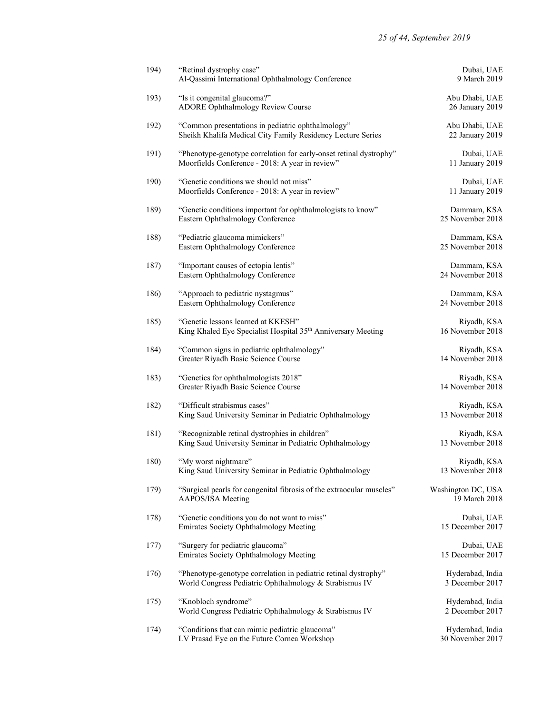| 194) | "Retinal dystrophy case"<br>Al-Qassimi International Ophthalmology Conference                                             | Dubai, UAE<br>9 March 2019           |
|------|---------------------------------------------------------------------------------------------------------------------------|--------------------------------------|
| 193) | "Is it congenital glaucoma?"<br>ADORE Ophthalmology Review Course                                                         | Abu Dhabi, UAE<br>26 January 2019    |
| 192) | "Common presentations in pediatric ophthalmology"<br>Sheikh Khalifa Medical City Family Residency Lecture Series          | Abu Dhabi, UAE<br>22 January 2019    |
| 191) | "Phenotype-genotype correlation for early-onset retinal dystrophy"<br>Moorfields Conference - 2018: A year in review"     | Dubai, UAE<br>11 January 2019        |
| 190) | "Genetic conditions we should not miss"<br>Moorfields Conference - 2018: A year in review"                                | Dubai, UAE<br>11 January 2019        |
| 189) | "Genetic conditions important for ophthalmologists to know"<br>Eastern Ophthalmology Conference                           | Dammam, KSA<br>25 November 2018      |
| 188) | "Pediatric glaucoma mimickers"<br>Eastern Ophthalmology Conference                                                        | Dammam, KSA<br>25 November 2018      |
| 187) | "Important causes of ectopia lentis"<br>Eastern Ophthalmology Conference                                                  | Dammam, KSA<br>24 November 2018      |
| 186) | "Approach to pediatric nystagmus"<br>Eastern Ophthalmology Conference                                                     | Dammam, KSA<br>24 November 2018      |
| 185) | "Genetic lessons learned at KKESH"<br>King Khaled Eye Specialist Hospital 35th Anniversary Meeting                        | Riyadh, KSA<br>16 November 2018      |
| 184) | "Common signs in pediatric ophthalmology"<br>Greater Riyadh Basic Science Course                                          | Riyadh, KSA<br>14 November 2018      |
| 183) | "Genetics for ophthalmologists 2018"<br>Greater Riyadh Basic Science Course                                               | Riyadh, KSA<br>14 November 2018      |
| 182) | "Difficult strabismus cases"<br>King Saud University Seminar in Pediatric Ophthalmology                                   | Riyadh, KSA<br>13 November 2018      |
| 181) | "Recognizable retinal dystrophies in children"<br>King Saud University Seminar in Pediatric Ophthalmology                 | Riyadh, KSA<br>13 November 2018      |
| 180) | "My worst nightmare"<br>King Saud University Seminar in Pediatric Ophthalmology                                           | Riyadh, KSA<br>13 November 2018      |
| 179) | "Surgical pearls for congenital fibrosis of the extraocular muscles"<br>AAPOS/ISA Meeting                                 | Washington DC, USA<br>19 March 2018  |
| 178) | "Genetic conditions you do not want to miss"<br>Emirates Society Ophthalmology Meeting                                    | Dubai, UAE<br>15 December 2017       |
| 177) | "Surgery for pediatric glaucoma"<br>Emirates Society Ophthalmology Meeting                                                | Dubai, UAE<br>15 December 2017       |
| 176) | "Phenotype-genotype correlation in pediatric retinal dystrophy"<br>World Congress Pediatric Ophthalmology & Strabismus IV | Hyderabad, India<br>3 December 2017  |
| 175) | "Knobloch syndrome"<br>World Congress Pediatric Ophthalmology & Strabismus IV                                             | Hyderabad, India<br>2 December 2017  |
| 174) | "Conditions that can mimic pediatric glaucoma"<br>LV Prasad Eye on the Future Cornea Workshop                             | Hyderabad, India<br>30 November 2017 |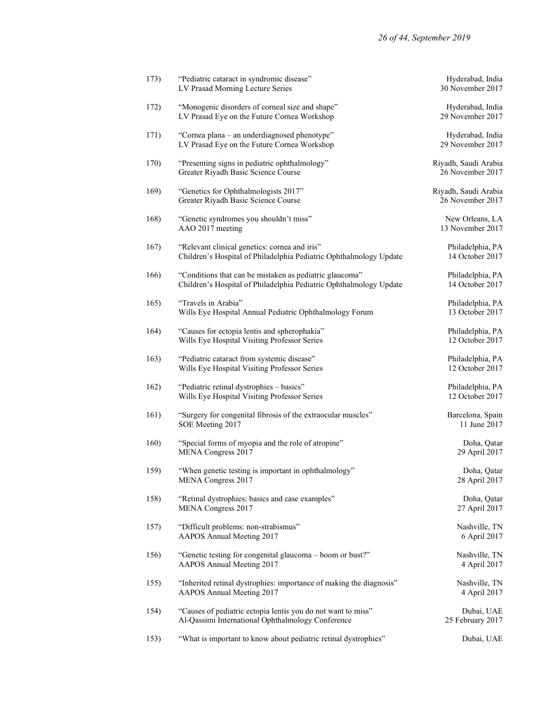| 173) | "Pediatric cataract in syndromic disease"<br>LV Prasad Morning Lecture Series                                                 | Hyderabad, India<br>30 November 2017     |
|------|-------------------------------------------------------------------------------------------------------------------------------|------------------------------------------|
| 172) | "Monogenic disorders of corneal size and shape"<br>LV Prasad Eye on the Future Cornea Workshop                                | Hyderabad, India<br>29 November 2017     |
| 171) | "Cornea plana – an underdiagnosed phenotype"<br>LV Prasad Eye on the Future Cornea Workshop                                   | Hyderabad, India<br>29 November 2017     |
| 170) | "Presenting signs in pediatric ophthalmology"<br>Greater Riyadh Basic Science Course                                          | Riyadh, Saudi Arabia<br>26 November 2017 |
| 169) | "Genetics for Ophthalmologists 2017"<br>Greater Riyadh Basic Science Course                                                   | Riyadh, Saudi Arabia<br>26 November 2017 |
| 168) | "Genetic syndromes you shouldn't miss"<br>AAO 2017 meeting                                                                    | New Orleans, LA<br>13 November 2017      |
| 167) | "Relevant clinical genetics: cornea and iris"<br>Children's Hospital of Philadelphia Pediatric Ophthalmology Update           | Philadelphia, PA<br>14 October 2017      |
| 166) | "Conditions that can be mistaken as pediatric glaucoma"<br>Children's Hospital of Philadelphia Pediatric Ophthalmology Update | Philadelphia, PA<br>14 October 2017      |
| 165) | "Travels in Arabia"<br>Wills Eye Hospital Annual Pediatric Ophthalmology Forum                                                | Philadelphia, PA<br>13 October 2017      |
| 164) | "Causes for ectopia lentis and spherophakia"<br>Wills Eye Hospital Visiting Professor Series                                  | Philadelphia, PA<br>12 October 2017      |
| 163) | "Pediatric cataract from systemic disease"<br>Wills Eye Hospital Visiting Professor Series                                    | Philadelphia, PA<br>12 October 2017      |
| 162) | "Pediatric retinal dystrophies - basics"<br>Wills Eye Hospital Visiting Professor Series                                      | Philadelphia, PA<br>12 October 2017      |
| 161) | "Surgery for congenital fibrosis of the extraocular muscles"<br>SOE Meeting 2017                                              | Barcelona, Spain<br>11 June 2017         |
| 160) | "Special forms of myopia and the role of atropine"<br>MENA Congress 2017                                                      | Doha, Qatar<br>29 April 2017             |
| 159) | "When genetic testing is important in ophthalmology"<br>MENA Congress 2017                                                    | Doha, Qatar<br>28 April 2017             |
| 158) | "Retinal dystrophies: basics and case examples"<br>MENA Congress 2017                                                         | Doha, Qatar<br>27 April 2017             |
| 157) | "Difficult problems: non-strabismus"<br>AAPOS Annual Meeting 2017                                                             | Nashville, TN<br>6 April 2017            |
| 156) | "Genetic testing for congenital glaucoma – boom or bust?"<br>AAPOS Annual Meeting 2017                                        | Nashville, TN<br>4 April 2017            |
| 155) | "Inherited retinal dystrophies: importance of making the diagnosis"<br>AAPOS Annual Meeting 2017                              | Nashville, TN<br>4 April 2017            |
| 154) | "Causes of pediatric ectopia lentis you do not want to miss"<br>Al-Qassimi International Ophthalmology Conference             | Dubai, UAE<br>25 February 2017           |
| 153) | "What is important to know about pediatric retinal dystrophies"                                                               | Dubai, UAE                               |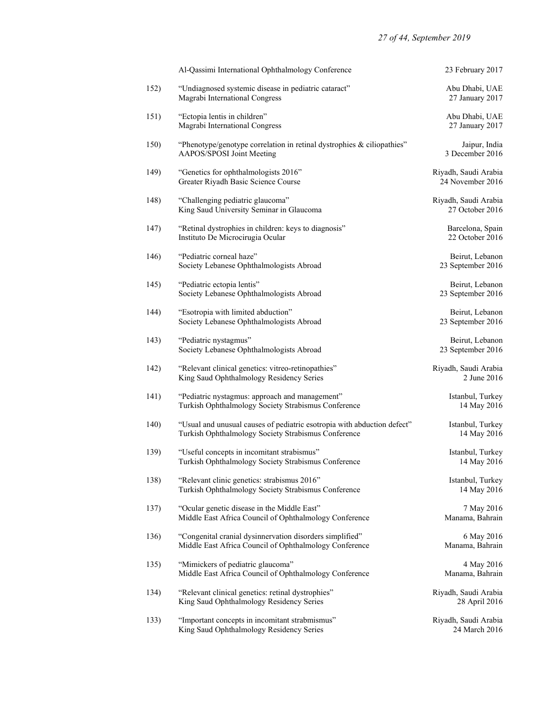|      | Al-Qassimi International Ophthalmology Conference                                                                              | 23 February 2017                         |
|------|--------------------------------------------------------------------------------------------------------------------------------|------------------------------------------|
| 152) | "Undiagnosed systemic disease in pediatric cataract"<br>Magrabi International Congress                                         | Abu Dhabi, UAE<br>27 January 2017        |
| 151) | "Ectopia lentis in children"<br>Magrabi International Congress                                                                 | Abu Dhabi, UAE<br>27 January 2017        |
| 150) | "Phenotype/genotype correlation in retinal dystrophies $\&$ ciliopathies"<br>AAPOS/SPOSI Joint Meeting                         | Jaipur, India<br>3 December 2016         |
| 149) | "Genetics for ophthalmologists 2016"<br>Greater Riyadh Basic Science Course                                                    | Riyadh, Saudi Arabia<br>24 November 2016 |
| 148) | "Challenging pediatric glaucoma"<br>King Saud University Seminar in Glaucoma                                                   | Riyadh, Saudi Arabia<br>27 October 2016  |
| 147) | "Retinal dystrophies in children: keys to diagnosis"<br>Instituto De Microcirugia Ocular                                       | Barcelona, Spain<br>22 October 2016      |
| 146) | "Pediatric corneal haze"<br>Society Lebanese Ophthalmologists Abroad                                                           | Beirut, Lebanon<br>23 September 2016     |
| 145) | "Pediatric ectopia lentis"<br>Society Lebanese Ophthalmologists Abroad                                                         | Beirut, Lebanon<br>23 September 2016     |
| 144) | "Esotropia with limited abduction"<br>Society Lebanese Ophthalmologists Abroad                                                 | Beirut, Lebanon<br>23 September 2016     |
| 143) | "Pediatric nystagmus"<br>Society Lebanese Ophthalmologists Abroad                                                              | Beirut, Lebanon<br>23 September 2016     |
| 142) | "Relevant clinical genetics: vitreo-retinopathies"<br>King Saud Ophthalmology Residency Series                                 | Riyadh, Saudi Arabia<br>2 June 2016      |
| 141) | "Pediatric nystagmus: approach and management"<br>Turkish Ophthalmology Society Strabismus Conference                          | Istanbul, Turkey<br>14 May 2016          |
| 140) | "Usual and unusual causes of pediatric esotropia with abduction defect"<br>Turkish Ophthalmology Society Strabismus Conference | Istanbul, Turkey<br>14 May 2016          |
| 139) | "Useful concepts in incomitant strabismus"<br>Turkish Ophthalmology Society Strabismus Conference                              | Istanbul, Turkey<br>14 May 2016          |
| 138) | "Relevant clinic genetics: strabismus 2016"<br>Turkish Ophthalmology Society Strabismus Conference                             | Istanbul, Turkey<br>14 May 2016          |
| 137) | "Ocular genetic disease in the Middle East"<br>Middle East Africa Council of Ophthalmology Conference                          | 7 May 2016<br>Manama, Bahrain            |
| 136) | "Congenital cranial dysinnervation disorders simplified"<br>Middle East Africa Council of Ophthalmology Conference             | 6 May 2016<br>Manama, Bahrain            |
| 135) | "Mimickers of pediatric glaucoma"<br>Middle East Africa Council of Ophthalmology Conference                                    | 4 May 2016<br>Manama, Bahrain            |
| 134) | "Relevant clinical genetics: retinal dystrophies"<br>King Saud Ophthalmology Residency Series                                  | Riyadh, Saudi Arabia<br>28 April 2016    |
| 133) | "Important concepts in incomitant strabmismus"<br>King Saud Ophthalmology Residency Series                                     | Riyadh, Saudi Arabia<br>24 March 2016    |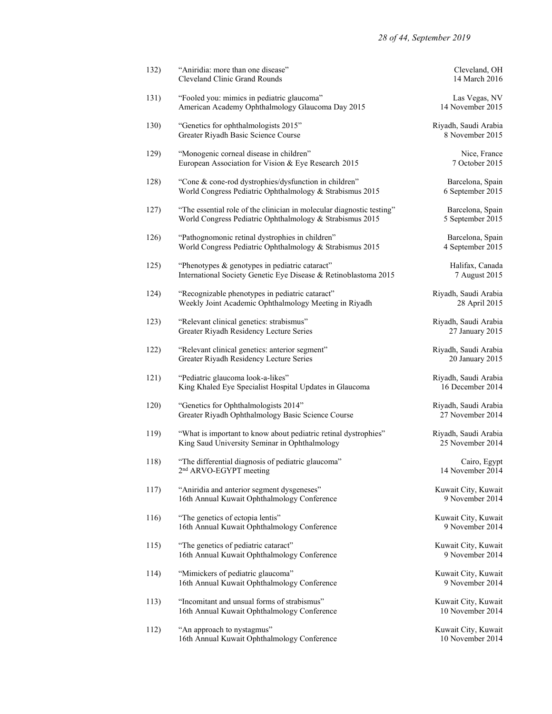| 132) | "Aniridia: more than one disease"<br>Cleveland Clinic Grand Rounds                                                                | Cleveland, OH<br>14 March 2016           |
|------|-----------------------------------------------------------------------------------------------------------------------------------|------------------------------------------|
| 131) | "Fooled you: mimics in pediatric glaucoma"<br>American Academy Ophthalmology Glaucoma Day 2015                                    | Las Vegas, NV<br>14 November 2015        |
| 130) | "Genetics for ophthalmologists 2015"<br>Greater Riyadh Basic Science Course                                                       | Riyadh, Saudi Arabia<br>8 November 2015  |
| 129) | "Monogenic corneal disease in children"<br>European Association for Vision & Eye Research 2015                                    | Nice, France<br>7 October 2015           |
| 128) | "Cone & cone-rod dystrophies/dysfunction in children"<br>World Congress Pediatric Ophthalmology & Strabismus 2015                 | Barcelona, Spain<br>6 September 2015     |
| 127) | "The essential role of the clinician in molecular diagnostic testing"<br>World Congress Pediatric Ophthalmology & Strabismus 2015 | Barcelona, Spain<br>5 September 2015     |
| 126) | "Pathognomonic retinal dystrophies in children"<br>World Congress Pediatric Ophthalmology & Strabismus 2015                       | Barcelona, Spain<br>4 September 2015     |
| 125) | "Phenotypes & genotypes in pediatric cataract"<br>International Society Genetic Eye Disease & Retinoblastoma 2015                 | Halifax, Canada<br>7 August 2015         |
| 124) | "Recognizable phenotypes in pediatric cataract"<br>Weekly Joint Academic Ophthalmology Meeting in Riyadh                          | Riyadh, Saudi Arabia<br>28 April 2015    |
| 123) | "Relevant clinical genetics: strabismus"<br>Greater Riyadh Residency Lecture Series                                               | Riyadh, Saudi Arabia<br>27 January 2015  |
| 122) | "Relevant clinical genetics: anterior segment"<br>Greater Riyadh Residency Lecture Series                                         | Riyadh, Saudi Arabia<br>20 January 2015  |
| 121) | "Pediatric glaucoma look-a-likes"<br>King Khaled Eye Specialist Hospital Updates in Glaucoma                                      | Riyadh, Saudi Arabia<br>16 December 2014 |
| 120) | "Genetics for Ophthalmologists 2014"<br>Greater Riyadh Ophthalmology Basic Science Course                                         | Riyadh, Saudi Arabia<br>27 November 2014 |
| 119) | "What is important to know about pediatric retinal dystrophies"<br>King Saud University Seminar in Ophthalmology                  | Riyadh, Saudi Arabia<br>25 November 2014 |
| 118) | "The differential diagnosis of pediatric glaucoma"<br>2 <sup>nd</sup> ARVO-EGYPT meeting                                          | Cairo, Egypt<br>14 November 2014         |
| 117) | "Aniridia and anterior segment dysgeneses"<br>16th Annual Kuwait Ophthalmology Conference                                         | Kuwait City, Kuwait<br>9 November 2014   |
| 116) | "The genetics of ectopia lentis"<br>16th Annual Kuwait Ophthalmology Conference                                                   | Kuwait City, Kuwait<br>9 November 2014   |
| 115) | "The genetics of pediatric cataract"<br>16th Annual Kuwait Ophthalmology Conference                                               | Kuwait City, Kuwait<br>9 November 2014   |
| 114) | "Mimickers of pediatric glaucoma"<br>16th Annual Kuwait Ophthalmology Conference                                                  | Kuwait City, Kuwait<br>9 November 2014   |
| 113) | "Incomitant and unsual forms of strabismus"<br>16th Annual Kuwait Ophthalmology Conference                                        | Kuwait City, Kuwait<br>10 November 2014  |
| 112) | "An approach to nystagmus"<br>16th Annual Kuwait Ophthalmology Conference                                                         | Kuwait City, Kuwait<br>10 November 2014  |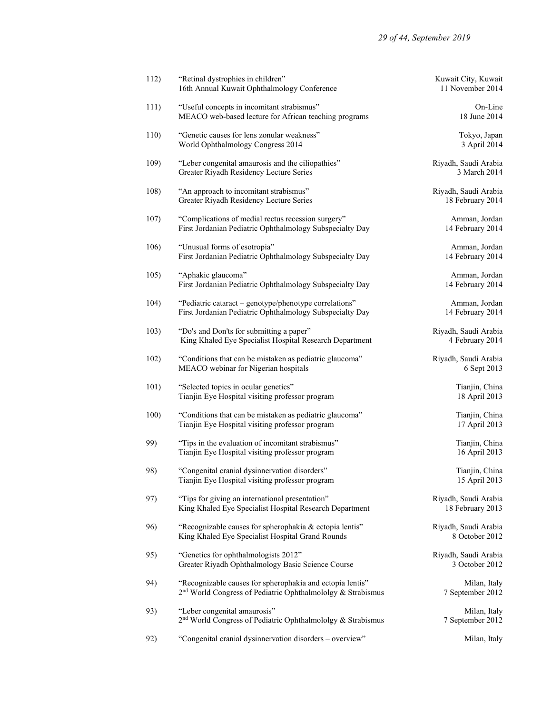| 112) | "Retinal dystrophies in children"<br>16th Annual Kuwait Ophthalmology Conference                                                     | Kuwait City, Kuwait<br>11 November 2014  |
|------|--------------------------------------------------------------------------------------------------------------------------------------|------------------------------------------|
| 111) | "Useful concepts in incomitant strabismus"<br>MEACO web-based lecture for African teaching programs                                  | On-Line<br>18 June 2014                  |
| 110) | "Genetic causes for lens zonular weakness"<br>World Ophthalmology Congress 2014                                                      | Tokyo, Japan<br>3 April 2014             |
| 109) | "Leber congenital amaurosis and the ciliopathies"<br>Greater Riyadh Residency Lecture Series                                         | Riyadh, Saudi Arabia<br>3 March 2014     |
| 108) | "An approach to incomitant strabismus"<br>Greater Riyadh Residency Lecture Series                                                    | Riyadh, Saudi Arabia<br>18 February 2014 |
| 107) | "Complications of medial rectus recession surgery"<br>First Jordanian Pediatric Ophthalmology Subspecialty Day                       | Amman, Jordan<br>14 February 2014        |
| 106) | "Unusual forms of esotropia"<br>First Jordanian Pediatric Ophthalmology Subspecialty Day                                             | Amman, Jordan<br>14 February 2014        |
| 105) | "Aphakic glaucoma"<br>First Jordanian Pediatric Ophthalmology Subspecialty Day                                                       | Amman, Jordan<br>14 February 2014        |
| 104) | "Pediatric cataract – genotype/phenotype correlations"<br>First Jordanian Pediatric Ophthalmology Subspecialty Day                   | Amman, Jordan<br>14 February 2014        |
| 103) | "Do's and Don'ts for submitting a paper"<br>King Khaled Eye Specialist Hospital Research Department                                  | Riyadh, Saudi Arabia<br>4 February 2014  |
| 102) | "Conditions that can be mistaken as pediatric glaucoma"<br>MEACO webinar for Nigerian hospitals                                      | Riyadh, Saudi Arabia<br>6 Sept 2013      |
| 101) | "Selected topics in ocular genetics"<br>Tianjin Eye Hospital visiting professor program                                              | Tianjin, China<br>18 April 2013          |
| 100) | "Conditions that can be mistaken as pediatric glaucoma"<br>Tianjin Eye Hospital visiting professor program                           | Tianjin, China<br>17 April 2013          |
| 99)  | "Tips in the evaluation of incomitant strabismus"<br>Tianjin Eye Hospital visiting professor program                                 | Tianjin, China<br>16 April 2013          |
| 98)  | "Congenital cranial dysinnervation disorders"<br>Tianjin Eye Hospital visiting professor program                                     | Tianjin, China<br>15 April 2013          |
| 97)  | "Tips for giving an international presentation"<br>King Khaled Eye Specialist Hospital Research Department                           | Riyadh, Saudi Arabia<br>18 February 2013 |
| 96)  | "Recognizable causes for spherophakia & ectopia lentis"<br>King Khaled Eye Specialist Hospital Grand Rounds                          | Riyadh, Saudi Arabia<br>8 October 2012   |
| 95)  | "Genetics for ophthalmologists 2012"<br>Greater Riyadh Ophthalmology Basic Science Course                                            | Riyadh, Saudi Arabia<br>3 October 2012   |
| 94)  | "Recognizable causes for spherophakia and ectopia lentis"<br>2 <sup>nd</sup> World Congress of Pediatric Ophthalmololgy & Strabismus | Milan, Italy<br>7 September 2012         |
| 93)  | "Leber congenital amaurosis"<br>2 <sup>nd</sup> World Congress of Pediatric Ophthalmololgy & Strabismus                              | Milan, Italy<br>7 September 2012         |
| 92)  | "Congenital cranial dysinnervation disorders - overview"                                                                             | Milan, Italy                             |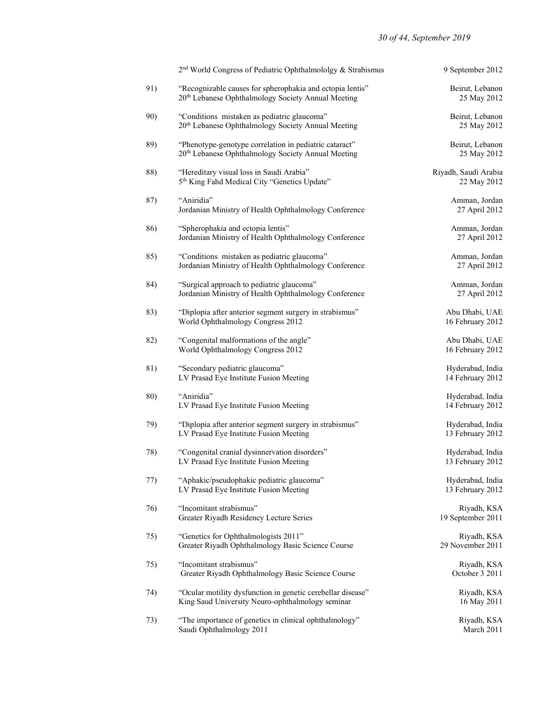|     | 2 <sup>nd</sup> World Congress of Pediatric Ophthalmololgy & Strabismus                                                     | 9 September 2012                     |
|-----|-----------------------------------------------------------------------------------------------------------------------------|--------------------------------------|
| 91) | "Recognizable causes for spherophakia and ectopia lentis"<br>20 <sup>th</sup> Lebanese Ophthalmology Society Annual Meeting | Beirut, Lebanon<br>25 May 2012       |
| 90) | "Conditions mistaken as pediatric glaucoma"<br>20 <sup>th</sup> Lebanese Ophthalmology Society Annual Meeting               | Beirut, Lebanon<br>25 May 2012       |
| 89) | "Phenotype-genotype correlation in pediatric cataract"<br>20 <sup>th</sup> Lebanese Ophthalmology Society Annual Meeting    | Beirut, Lebanon<br>25 May 2012       |
| 88) | "Hereditary visual loss in Saudi Arabia"<br>5th King Fahd Medical City "Genetics Update"                                    | Riyadh, Saudi Arabia<br>22 May 2012  |
| 87) | "Aniridia"<br>Jordanian Ministry of Health Ophthalmology Conference                                                         | Amman, Jordan<br>27 April 2012       |
| 86) | "Spherophakia and ectopia lentis"<br>Jordanian Ministry of Health Ophthalmology Conference                                  | Amman, Jordan<br>27 April 2012       |
| 85) | "Conditions mistaken as pediatric glaucoma"<br>Jordanian Ministry of Health Ophthalmology Conference                        | Amman, Jordan<br>27 April 2012       |
| 84) | "Surgical approach to pediatric glaucoma"<br>Jordanian Ministry of Health Ophthalmology Conference                          | Amman, Jordan<br>27 April 2012       |
| 83) | "Diplopia after anterior segment surgery in strabismus"<br>World Ophthalmology Congress 2012                                | Abu Dhabi, UAE<br>16 February 2012   |
| 82) | "Congenital malformations of the angle"<br>World Ophthalmology Congress 2012                                                | Abu Dhabi, UAE<br>16 February 2012   |
| 81) | "Secondary pediatric glaucoma"<br>LV Prasad Eye Institute Fusion Meeting                                                    | Hyderabad, India<br>14 February 2012 |
| 80) | "Aniridia"<br>LV Prasad Eye Institute Fusion Meeting                                                                        | Hyderabad, India<br>14 February 2012 |
| 79) | "Diplopia after anterior segment surgery in strabismus"<br>LV Prasad Eye Institute Fusion Meeting                           | Hyderabad, India<br>13 February 2012 |
| 78) | "Congenital cranial dysinnervation disorders"<br>LV Prasad Eye Institute Fusion Meeting                                     | Hyderabad, India<br>13 February 2012 |
| 77) | "Aphakic/pseudophakic pediatric glaucoma"<br>LV Prasad Eye Institute Fusion Meeting                                         | Hyderabad, India<br>13 February 2012 |
| 76) | "Incomitant strabismus"<br>Greater Riyadh Residency Lecture Series                                                          | Riyadh, KSA<br>19 September 2011     |
| 75) | "Genetics for Ophthalmologists 2011"<br>Greater Riyadh Ophthalmology Basic Science Course                                   | Riyadh, KSA<br>29 November 2011      |
| 75) | "Incomitant strabismus"<br>Greater Riyadh Ophthalmology Basic Science Course                                                | Riyadh, KSA<br>October 3 2011        |
| 74) | "Ocular motility dysfunction in genetic cerebellar disease"<br>King Saud University Neuro-ophthalmology seminar             | Riyadh, KSA<br>16 May 2011           |
| 73) | "The importance of genetics in clinical ophthalmology"<br>Saudi Ophthalmology 2011                                          | Riyadh, KSA<br>March 2011            |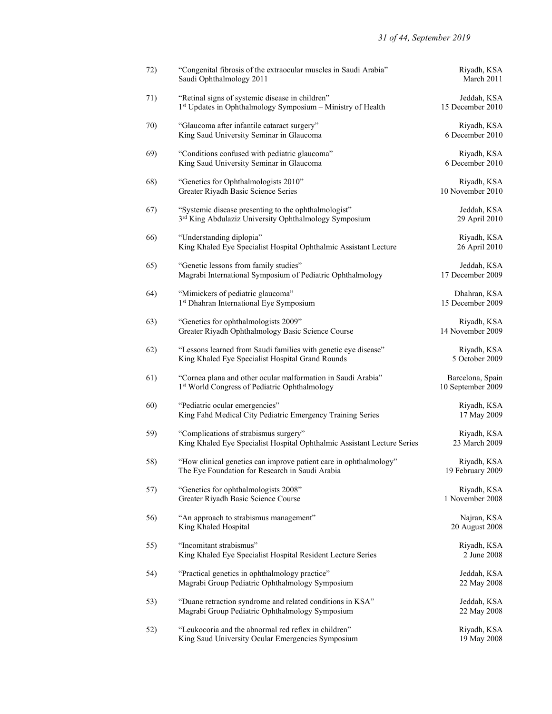| 72) | "Congenital fibrosis of the extraocular muscles in Saudi Arabia"<br>Saudi Ophthalmology 2011                         | Riyadh, KSA<br>March 2011             |
|-----|----------------------------------------------------------------------------------------------------------------------|---------------------------------------|
| 71) | "Retinal signs of systemic disease in children"<br>1st Updates in Ophthalmology Symposium - Ministry of Health       | Jeddah, KSA<br>15 December 2010       |
| 70) | "Glaucoma after infantile cataract surgery"<br>King Saud University Seminar in Glaucoma                              | Riyadh, KSA<br>6 December 2010        |
| 69) | "Conditions confused with pediatric glaucoma"<br>King Saud University Seminar in Glaucoma                            | Riyadh, KSA<br>6 December 2010        |
| 68) | "Genetics for Ophthalmologists 2010"<br>Greater Riyadh Basic Science Series                                          | Riyadh, KSA<br>10 November 2010       |
| 67) | "Systemic disease presenting to the ophthalmologist"<br>3rd King Abdulaziz University Ophthalmology Symposium        | Jeddah, KSA<br>29 April 2010          |
| 66) | "Understanding diplopia"<br>King Khaled Eye Specialist Hospital Ophthalmic Assistant Lecture                         | Riyadh, KSA<br>26 April 2010          |
| 65) | "Genetic lessons from family studies"<br>Magrabi International Symposium of Pediatric Ophthalmology                  | Jeddah, KSA<br>17 December 2009       |
| 64) | "Mimickers of pediatric glaucoma"<br>1st Dhahran International Eye Symposium                                         | Dhahran, KSA<br>15 December 2009      |
| 63) | "Genetics for ophthalmologists 2009"<br>Greater Riyadh Ophthalmology Basic Science Course                            | Riyadh, KSA<br>14 November 2009       |
| 62) | "Lessons learned from Saudi families with genetic eye disease"<br>King Khaled Eye Specialist Hospital Grand Rounds   | Riyadh, KSA<br>5 October 2009         |
| 61) | "Cornea plana and other ocular malformation in Saudi Arabia"<br>1st World Congress of Pediatric Ophthalmology        | Barcelona, Spain<br>10 September 2009 |
| 60) | "Pediatric ocular emergencies"<br>King Fahd Medical City Pediatric Emergency Training Series                         | Riyadh, KSA<br>17 May 2009            |
| 59) | "Complications of strabismus surgery"<br>King Khaled Eye Specialist Hospital Ophthalmic Assistant Lecture Series     | Riyadh, KSA<br>23 March 2009          |
| 58) | "How clinical genetics can improve patient care in ophthalmology"<br>The Eye Foundation for Research in Saudi Arabia | Riyadh, KSA<br>19 February 2009       |
| 57) | "Genetics for ophthalmologists 2008"<br>Greater Riyadh Basic Science Course                                          | Riyadh, KSA<br>1 November 2008        |
| 56) | "An approach to strabismus management"<br>King Khaled Hospital                                                       | Najran, KSA<br>20 August 2008         |
| 55) | "Incomitant strabismus"<br>King Khaled Eye Specialist Hospital Resident Lecture Series                               | Riyadh, KSA<br>2 June 2008            |
| 54) | "Practical genetics in ophthalmology practice"<br>Magrabi Group Pediatric Ophthalmology Symposium                    | Jeddah, KSA<br>22 May 2008            |
| 53) | "Duane retraction syndrome and related conditions in KSA"<br>Magrabi Group Pediatric Ophthalmology Symposium         | Jeddah, KSA<br>22 May 2008            |
| 52) | "Leukocoria and the abnormal red reflex in children"<br>King Saud University Ocular Emergencies Symposium            | Riyadh, KSA<br>19 May 2008            |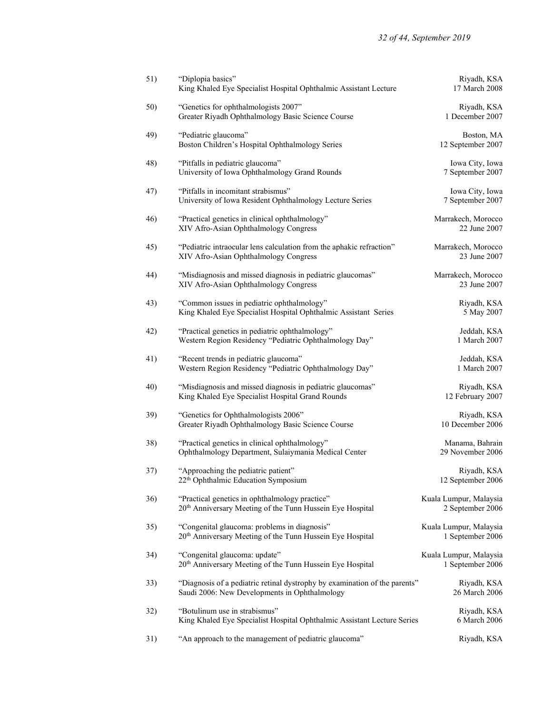| 51) | "Diplopia basics"<br>King Khaled Eye Specialist Hospital Ophthalmic Assistant Lecture                                       | Riyadh, KSA<br>17 March 2008               |
|-----|-----------------------------------------------------------------------------------------------------------------------------|--------------------------------------------|
| 50) | "Genetics for ophthalmologists 2007"<br>Greater Riyadh Ophthalmology Basic Science Course                                   | Riyadh, KSA<br>1 December 2007             |
| 49) | "Pediatric glaucoma"<br>Boston Children's Hospital Ophthalmology Series                                                     | Boston, MA<br>12 September 2007            |
| 48) | "Pitfalls in pediatric glaucoma"<br>University of Iowa Ophthalmology Grand Rounds                                           | Iowa City, Iowa<br>7 September 2007        |
| 47) | "Pitfalls in incomitant strabismus"<br>University of Iowa Resident Ophthalmology Lecture Series                             | Iowa City, Iowa<br>7 September 2007        |
| 46) | "Practical genetics in clinical ophthalmology"<br>XIV Afro-Asian Ophthalmology Congress                                     | Marrakech, Morocco<br>22 June 2007         |
| 45) | "Pediatric intraocular lens calculation from the aphakic refraction"<br>XIV Afro-Asian Ophthalmology Congress               | Marrakech, Morocco<br>23 June 2007         |
| 44) | "Misdiagnosis and missed diagnosis in pediatric glaucomas"<br>XIV Afro-Asian Ophthalmology Congress                         | Marrakech, Morocco<br>23 June 2007         |
| 43) | "Common issues in pediatric ophthalmology"<br>King Khaled Eye Specialist Hospital Ophthalmic Assistant Series               | Riyadh, KSA<br>5 May 2007                  |
| 42) | "Practical genetics in pediatric ophthalmology"<br>Western Region Residency "Pediatric Ophthalmology Day"                   | Jeddah, KSA<br>1 March 2007                |
| 41) | "Recent trends in pediatric glaucoma"<br>Western Region Residency "Pediatric Ophthalmology Day"                             | Jeddah, KSA<br>1 March 2007                |
| 40) | "Misdiagnosis and missed diagnosis in pediatric glaucomas"<br>King Khaled Eye Specialist Hospital Grand Rounds              | Riyadh, KSA<br>12 February 2007            |
| 39) | "Genetics for Ophthalmologists 2006"<br>Greater Riyadh Ophthalmology Basic Science Course                                   | Riyadh, KSA<br>10 December 2006            |
| 38) | "Practical genetics in clinical ophthalmology"<br>Ophthalmology Department, Sulaiymania Medical Center                      | Manama, Bahrain<br>29 November 2006        |
| 37) | "Approaching the pediatric patient"<br>22 <sup>th</sup> Ophthalmic Education Symposium                                      | Riyadh, KSA<br>12 September 2006           |
| 36) | "Practical genetics in ophthalmology practice"<br>20 <sup>th</sup> Anniversary Meeting of the Tunn Hussein Eye Hospital     | Kuala Lumpur, Malaysia<br>2 September 2006 |
| 35) | "Congenital glaucoma: problems in diagnosis"<br>20th Anniversary Meeting of the Tunn Hussein Eye Hospital                   | Kuala Lumpur, Malaysia<br>1 September 2006 |
| 34) | "Congenital glaucoma: update"<br>20 <sup>th</sup> Anniversary Meeting of the Tunn Hussein Eye Hospital                      | Kuala Lumpur, Malaysia<br>1 September 2006 |
| 33) | "Diagnosis of a pediatric retinal dystrophy by examination of the parents"<br>Saudi 2006: New Developments in Ophthalmology | Riyadh, KSA<br>26 March 2006               |
| 32) | "Botulinum use in strabismus"<br>King Khaled Eye Specialist Hospital Ophthalmic Assistant Lecture Series                    | Riyadh, KSA<br>6 March 2006                |
| 31) | "An approach to the management of pediatric glaucoma"                                                                       | Riyadh, KSA                                |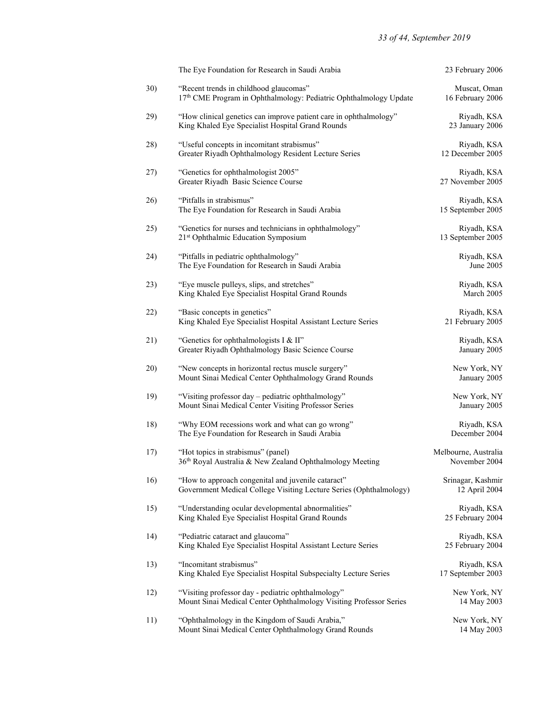|     | The Eye Foundation for Research in Saudi Arabia                                                                          | 23 February 2006                      |
|-----|--------------------------------------------------------------------------------------------------------------------------|---------------------------------------|
| 30) | "Recent trends in childhood glaucomas"<br>17th CME Program in Ophthalmology: Pediatric Ophthalmology Update              | Muscat, Oman<br>16 February 2006      |
| 29) | "How clinical genetics can improve patient care in ophthalmology"<br>King Khaled Eye Specialist Hospital Grand Rounds    | Riyadh, KSA<br>23 January 2006        |
| 28) | "Useful concepts in incomitant strabismus"<br>Greater Riyadh Ophthalmology Resident Lecture Series                       | Riyadh, KSA<br>12 December 2005       |
| 27) | "Genetics for ophthalmologist 2005"<br>Greater Riyadh Basic Science Course                                               | Riyadh, KSA<br>27 November 2005       |
| 26) | "Pitfalls in strabismus"<br>The Eye Foundation for Research in Saudi Arabia                                              | Riyadh, KSA<br>15 September 2005      |
| 25) | "Genetics for nurses and technicians in ophthalmology"<br>21 <sup>st</sup> Ophthalmic Education Symposium                | Riyadh, KSA<br>13 September 2005      |
| 24) | "Pitfalls in pediatric ophthalmology"<br>The Eye Foundation for Research in Saudi Arabia                                 | Riyadh, KSA<br>June 2005              |
| 23) | "Eye muscle pulleys, slips, and stretches"<br>King Khaled Eye Specialist Hospital Grand Rounds                           | Riyadh, KSA<br>March 2005             |
| 22) | "Basic concepts in genetics"<br>King Khaled Eye Specialist Hospital Assistant Lecture Series                             | Riyadh, KSA<br>21 February 2005       |
| 21) | "Genetics for ophthalmologists I & II"<br>Greater Riyadh Ophthalmology Basic Science Course                              | Riyadh, KSA<br>January 2005           |
| 20) | "New concepts in horizontal rectus muscle surgery"<br>Mount Sinai Medical Center Ophthalmology Grand Rounds              | New York, NY<br>January 2005          |
| 19) | "Visiting professor day - pediatric ophthalmology"<br>Mount Sinai Medical Center Visiting Professor Series               | New York, NY<br>January 2005          |
| 18) | "Why EOM recessions work and what can go wrong"<br>The Eye Foundation for Research in Saudi Arabia                       | Riyadh, KSA<br>December 2004          |
| 17) | "Hot topics in strabismus" (panel)<br>36th Royal Australia & New Zealand Ophthalmology Meeting                           | Melbourne, Australia<br>November 2004 |
| 16) | "How to approach congenital and juvenile cataract"<br>Government Medical College Visiting Lecture Series (Ophthalmology) | Srinagar, Kashmir<br>12 April 2004    |
| 15) | "Understanding ocular developmental abnormalities"<br>King Khaled Eye Specialist Hospital Grand Rounds                   | Riyadh, KSA<br>25 February 2004       |
| 14) | "Pediatric cataract and glaucoma"<br>King Khaled Eye Specialist Hospital Assistant Lecture Series                        | Riyadh, KSA<br>25 February 2004       |
| 13) | "Incomitant strabismus"<br>King Khaled Eye Specialist Hospital Subspecialty Lecture Series                               | Riyadh, KSA<br>17 September 2003      |
| 12) | "Visiting professor day - pediatric ophthalmology"<br>Mount Sinai Medical Center Ophthalmology Visiting Professor Series | New York, NY<br>14 May 2003           |
| 11) | "Ophthalmology in the Kingdom of Saudi Arabia,"<br>Mount Sinai Medical Center Ophthalmology Grand Rounds                 | New York, NY<br>14 May 2003           |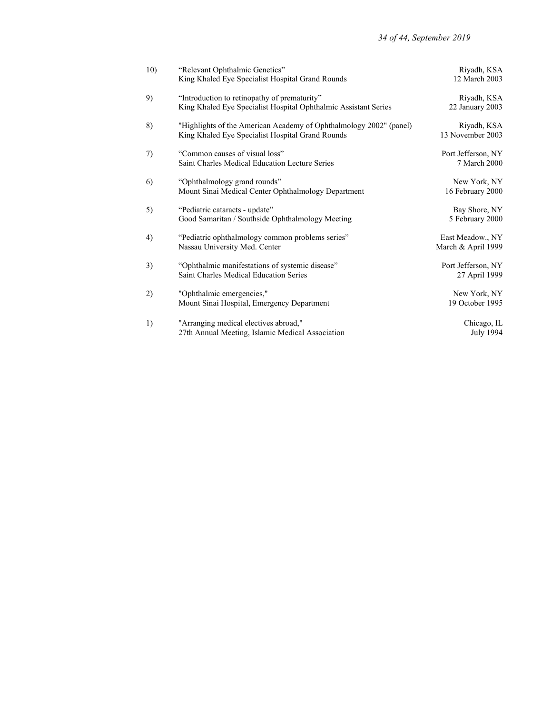| 10) | "Relevant Ophthalmic Genetics"                                     | Riyadh, KSA        |
|-----|--------------------------------------------------------------------|--------------------|
|     | King Khaled Eye Specialist Hospital Grand Rounds                   | 12 March 2003      |
| 9)  | "Introduction to retinopathy of prematurity"                       | Riyadh, KSA        |
|     | King Khaled Eye Specialist Hospital Ophthalmic Assistant Series    | 22 January 2003    |
| 8)  | "Highlights of the American Academy of Ophthalmology 2002" (panel) | Riyadh, KSA        |
|     | King Khaled Eye Specialist Hospital Grand Rounds                   | 13 November 2003   |
| 7)  | "Common causes of visual loss"                                     | Port Jefferson, NY |
|     | Saint Charles Medical Education Lecture Series                     | 7 March 2000       |
| 6)  | "Ophthalmology grand rounds"                                       | New York, NY       |
|     | Mount Sinai Medical Center Ophthalmology Department                | 16 February 2000   |
| 5)  | "Pediatric cataracts - update"                                     | Bay Shore, NY      |
|     | Good Samaritan / Southside Ophthalmology Meeting                   | 5 February 2000    |
| 4)  | "Pediatric ophthalmology common problems series"                   | East Meadow., NY   |
|     | Nassau University Med. Center                                      | March & April 1999 |
| 3)  | "Ophthalmic manifestations of systemic disease"                    | Port Jefferson, NY |
|     | Saint Charles Medical Education Series                             | 27 April 1999      |
| 2)  | "Ophthalmic emergencies,"                                          | New York, NY       |
|     | Mount Sinai Hospital, Emergency Department                         | 19 October 1995    |
| 1)  | "Arranging medical electives abroad,"                              | Chicago, IL        |
|     | 27th Annual Meeting, Islamic Medical Association                   | <b>July 1994</b>   |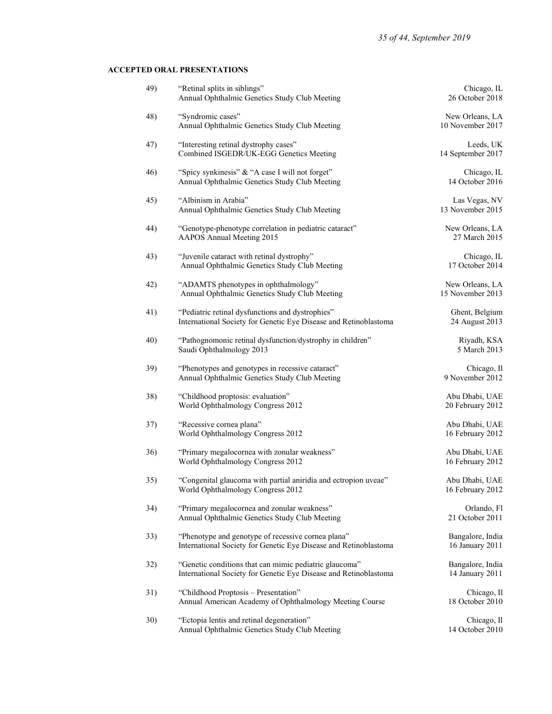# ACCEPTED ORAL PRESENTATIONS

| 49) | "Retinal splits in siblings"<br>Annual Ophthalmic Genetics Study Club Meeting                                              | Chicago, IL<br>26 October 2018      |
|-----|----------------------------------------------------------------------------------------------------------------------------|-------------------------------------|
| 48) | "Syndromic cases"<br>Annual Ophthalmic Genetics Study Club Meeting                                                         | New Orleans, LA<br>10 November 2017 |
| 47) | "Interesting retinal dystrophy cases"<br>Combined ISGEDR/UK-EGG Genetics Meeting                                           | Leeds, UK<br>14 September 2017      |
| 46) | "Spicy synkinesis" & "A case I will not forget"<br>Annual Ophthalmic Genetics Study Club Meeting                           | Chicago, IL<br>14 October 2016      |
| 45) | "Albinism in Arabia"<br>Annual Ophthalmic Genetics Study Club Meeting                                                      | Las Vegas, NV<br>13 November 2015   |
| 44) | "Genotype-phenotype correlation in pediatric cataract"<br>AAPOS Annual Meeting 2015                                        | New Orleans, LA<br>27 March 2015    |
| 43) | "Juvenile cataract with retinal dystrophy"<br>Annual Ophthalmic Genetics Study Club Meeting                                | Chicago, IL<br>17 October 2014      |
| 42) | "ADAMTS phenotypes in ophthalmology"<br>Annual Ophthalmic Genetics Study Club Meeting                                      | New Orleans, LA<br>15 November 2013 |
| 41) | "Pediatric retinal dysfunctions and dystrophies"<br>International Society for Genetic Eye Disease and Retinoblastoma       | Ghent, Belgium<br>24 August 2013    |
| 40) | "Pathognomonic retinal dysfunction/dystrophy in children"<br>Saudi Ophthalmology 2013                                      | Riyadh, KSA<br>5 March 2013         |
| 39) | "Phenotypes and genotypes in recessive cataract"<br>Annual Ophthalmic Genetics Study Club Meeting                          | Chicago, Il<br>9 November 2012      |
| 38) | "Childhood proptosis: evaluation"<br>World Ophthalmology Congress 2012                                                     | Abu Dhabi, UAE<br>20 February 2012  |
| 37) | "Recessive cornea plana"<br>World Ophthalmology Congress 2012                                                              | Abu Dhabi, UAE<br>16 February 2012  |
| 36) | "Primary megalocornea with zonular weakness"<br>World Ophthalmology Congress 2012                                          | Abu Dhabi, UAE<br>16 February 2012  |
| 35) | "Congenital glaucoma with partial aniridia and ectropion uveae"<br>World Ophthalmology Congress 2012                       | Abu Dhabi, UAE<br>16 February 2012  |
| 34) | "Primary megalocornea and zonular weakness"<br>Annual Ophthalmic Genetics Study Club Meeting                               | Orlando, Fl<br>21 October 2011      |
| 33) | "Phenotype and genotype of recessive cornea plana"<br>International Society for Genetic Eye Disease and Retinoblastoma     | Bangalore, India<br>16 January 2011 |
| 32) | "Genetic conditions that can mimic pediatric glaucoma"<br>International Society for Genetic Eye Disease and Retinoblastoma | Bangalore, India<br>14 January 2011 |
| 31) | "Childhood Proptosis - Presentation"<br>Annual American Academy of Ophthalmology Meeting Course                            | Chicago, Il<br>18 October 2010      |
| 30) | "Ectopia lentis and retinal degeneration"<br>Annual Ophthalmic Genetics Study Club Meeting                                 | Chicago, Il<br>14 October 2010      |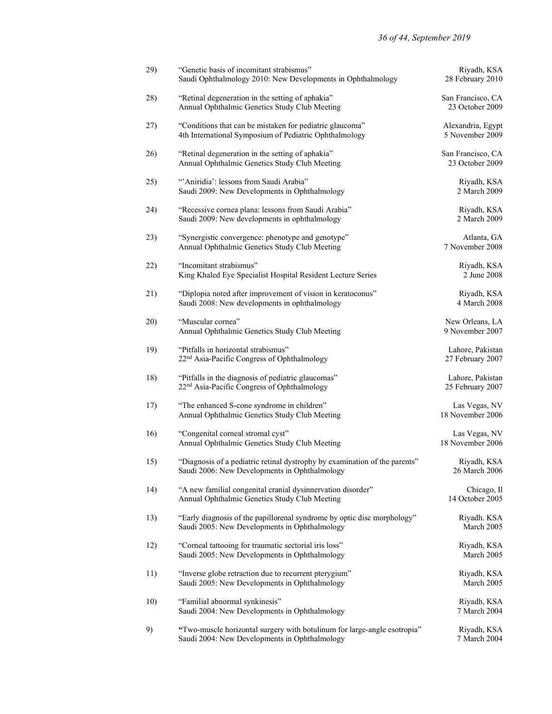| 29) | "Genetic basis of incomitant strabismus"<br>Saudi Ophthalmology 2010: New Developments in Ophthalmology                     | Riyadh, KSA<br>28 February 2010      |
|-----|-----------------------------------------------------------------------------------------------------------------------------|--------------------------------------|
| 28) | "Retinal degeneration in the setting of aphakia"<br>Annual Ophthalmic Genetics Study Club Meeting                           | San Francisco, CA<br>23 October 2009 |
| 27) | "Conditions that can be mistaken for pediatric glaucoma"<br>4th International Symposium of Pediatric Ophthalmology          | Alexandria, Egypt<br>5 November 2009 |
| 26) | "Retinal degeneration in the setting of aphakia"<br>Annual Ophthalmic Genetics Study Club Meeting                           | San Francisco, CA<br>23 October 2009 |
| 25) | "Aniridia': lessons from Saudi Arabia"<br>Saudi 2009: New Developments in Ophthalmology                                     | Riyadh, KSA<br>2 March 2009          |
| 24) | "Recessive cornea plana: lessons from Saudi Arabia"<br>Saudi 2009: New developments in ophthalmology                        | Riyadh, KSA<br>2 March 2009          |
| 23) | "Synergistic convergence: phenotype and genotype"<br>Annual Ophthalmic Genetics Study Club Meeting                          | Atlanta, GA<br>7 November 2008       |
| 22) | "Incomitant strabismus"<br>King Khaled Eye Specialist Hospital Resident Lecture Series                                      | Riyadh, KSA<br>2 June 2008           |
| 21) | "Diplopia noted after improvement of vision in keratoconus"<br>Saudi 2008: New developments in ophthalmology                | Riyadh, KSA<br>4 March 2008          |
| 20) | "Muscular cornea"<br>Annual Ophthalmic Genetics Study Club Meeting                                                          | New Orleans, LA<br>9 November 2007   |
| 19) | "Pitfalls in horizontal strabismus"<br>22 <sup>nd</sup> Asia-Pacific Congress of Ophthalmology                              | Lahore, Pakistan<br>27 February 2007 |
| 18) | "Pitfalls in the diagnosis of pediatric glaucomas"<br>22 <sup>nd</sup> Asia-Pacific Congress of Ophthalmology               | Lahore, Pakistan<br>25 February 2007 |
| 17) | "The enhanced S-cone syndrome in children"<br>Annual Ophthalmic Genetics Study Club Meeting                                 | Las Vegas, NV<br>18 November 2006    |
| 16) | "Congenital corneal stromal cyst"<br>Annual Ophthalmic Genetics Study Club Meeting                                          | Las Vegas, NV<br>18 November 2006    |
| 15) | "Diagnosis of a pediatric retinal dystrophy by examination of the parents"<br>Saudi 2006: New Developments in Ophthalmology | Riyadh, KSA<br>26 March 2006         |
| 14) | "A new familial congenital cranial dysinnervation disorder"<br>Annual Ophthalmic Genetics Study Club Meeting                | Chicago, Il<br>14 October 2005       |
| 13) | "Early diagnosis of the papillorenal syndrome by optic disc morphology"<br>Saudi 2005: New Developments in Ophthalmology    | Riyadh. KSA<br>March 2005            |
| 12) | "Corneal tattooing for traumatic sectorial iris loss"<br>Saudi 2005: New Developments in Ophthalmology                      | Riyadh, KSA<br>March 2005            |
| 11) | "Inverse globe retraction due to recurrent pterygium"<br>Saudi 2005: New Developments in Ophthalmology                      | Riyadh, KSA<br>March 2005            |
| 10) | "Familial abnormal synkinesis"<br>Saudi 2004: New Developments in Ophthalmology                                             | Riyadh, KSA<br>7 March 2004          |
| 9)  | "Two-muscle horizontal surgery with botulinum for large-angle esotropia"<br>Saudi 2004: New Developments in Ophthalmology   | Riyadh, KSA<br>7 March 2004          |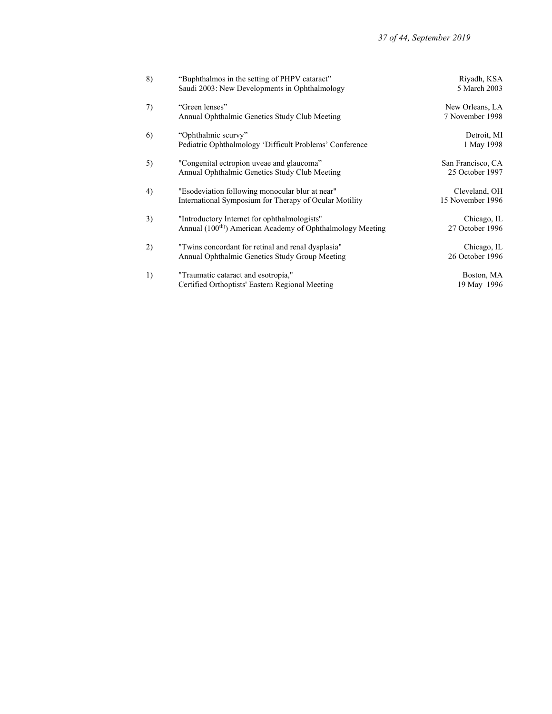| 8) | "Buphthalmos in the setting of PHPV cataract"                          | Riyadh, KSA       |
|----|------------------------------------------------------------------------|-------------------|
|    | Saudi 2003: New Developments in Ophthalmology                          | 5 March 2003      |
| 7) | "Green lenses"                                                         | New Orleans, LA   |
|    | Annual Ophthalmic Genetics Study Club Meeting                          | 7 November 1998   |
| 6) | "Ophthalmic scurvy"                                                    | Detroit, MI       |
|    | Pediatric Ophthalmology 'Difficult Problems' Conference                | 1 May 1998        |
| 5) | "Congenital ectropion uveae and glaucoma"                              | San Francisco, CA |
|    | Annual Ophthalmic Genetics Study Club Meeting                          | 25 October 1997   |
| 4) | "Esodeviation following monocular blur at near"                        | Cleveland, OH     |
|    | International Symposium for Therapy of Ocular Motility                 | 15 November 1996  |
| 3) | "Introductory Internet for ophthalmologists"                           | Chicago, IL       |
|    | Annual (100 <sup>th)</sup> ) American Academy of Ophthalmology Meeting | 27 October 1996   |
| 2) | "Twins concordant for retinal and renal dysplasia"                     | Chicago, IL       |
|    | Annual Ophthalmic Genetics Study Group Meeting                         | 26 October 1996   |
| 1) | "Traumatic cataract and esotropia,"                                    | Boston, MA        |
|    | Certified Orthoptists' Eastern Regional Meeting                        | 19 May 1996       |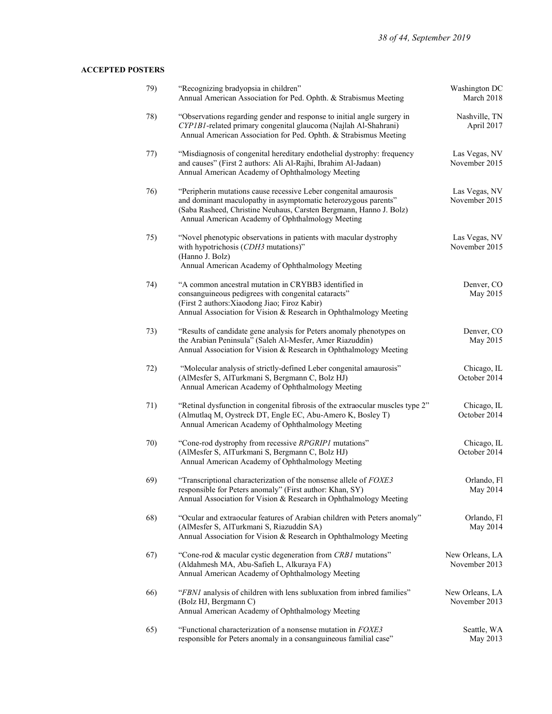# ACCEPTED POSTERS

| 79) | "Recognizing bradyopsia in children"<br>Annual American Association for Ped. Ophth. & Strabismus Meeting                                                                                                                                                     | Washington DC<br>March 2018      |
|-----|--------------------------------------------------------------------------------------------------------------------------------------------------------------------------------------------------------------------------------------------------------------|----------------------------------|
| 78) | "Observations regarding gender and response to initial angle surgery in<br>CYP1B1-related primary congenital glaucoma (Najlah Al-Shahrani)<br>Annual American Association for Ped. Ophth. & Strabismus Meeting                                               | Nashville, TN<br>April 2017      |
| 77) | "Misdiagnosis of congenital hereditary endothelial dystrophy: frequency<br>and causes" (First 2 authors: Ali Al-Rajhi, Ibrahim Al-Jadaan)<br>Annual American Academy of Ophthalmology Meeting                                                                | Las Vegas, NV<br>November 2015   |
| 76) | "Peripherin mutations cause recessive Leber congenital amaurosis<br>and dominant maculopathy in asymptomatic heterozygous parents"<br>(Saba Rasheed, Christine Neuhaus, Carsten Bergmann, Hanno J. Bolz)<br>Annual American Academy of Ophthalmology Meeting | Las Vegas, NV<br>November 2015   |
| 75) | "Novel phenotypic observations in patients with macular dystrophy<br>with hypotrichosis (CDH3 mutations)"<br>(Hanno J. Bolz)<br>Annual American Academy of Ophthalmology Meeting                                                                             | Las Vegas, NV<br>November 2015   |
| 74) | "A common ancestral mutation in CRYBB3 identified in<br>consanguineous pedigrees with congenital cataracts"<br>(First 2 authors: Xiaodong Jiao; Firoz Kabir)<br>Annual Association for Vision & Research in Ophthalmology Meeting                            | Denver, CO<br>May 2015           |
| 73) | "Results of candidate gene analysis for Peters anomaly phenotypes on<br>the Arabian Peninsula" (Saleh Al-Mesfer, Amer Riazuddin)<br>Annual Association for Vision & Research in Ophthalmology Meeting                                                        | Denver, CO<br>May 2015           |
| 72) | "Molecular analysis of strictly-defined Leber congenital amaurosis"<br>(AlMesfer S, AlTurkmani S, Bergmann C, Bolz HJ)<br>Annual American Academy of Ophthalmology Meeting                                                                                   | Chicago, IL<br>October 2014      |
| 71) | "Retinal dysfunction in congenital fibrosis of the extraocular muscles type 2"<br>(Almutlaq M, Oystreck DT, Engle EC, Abu-Amero K, Bosley T)<br>Annual American Academy of Ophthalmology Meeting                                                             | Chicago, IL<br>October 2014      |
| 70) | "Cone-rod dystrophy from recessive RPGRIP1 mutations"<br>(AlMesfer S, AlTurkmani S, Bergmann C, Bolz HJ)<br>Annual American Academy of Ophthalmology Meeting                                                                                                 | Chicago, IL<br>October 2014      |
| 69) | "Transcriptional characterization of the nonsense allele of FOXE3<br>responsible for Peters anomaly" (First author: Khan, SY)<br>Annual Association for Vision & Research in Ophthalmology Meeting                                                           | Orlando, Fl<br>May 2014          |
| 68) | "Ocular and extraocular features of Arabian children with Peters anomaly"<br>(AlMesfer S, AlTurkmani S, Riazuddin SA)<br>Annual Association for Vision & Research in Ophthalmology Meeting                                                                   | Orlando, Fl<br>May 2014          |
| 67) | "Cone-rod & macular cystic degeneration from CRB1 mutations"<br>(Aldahmesh MA, Abu-Safieh L, Alkuraya FA)<br>Annual American Academy of Ophthalmology Meeting                                                                                                | New Orleans, LA<br>November 2013 |
| 66) | "FBNI analysis of children with lens subluxation from inbred families"<br>(Bolz HJ, Bergmann C)<br>Annual American Academy of Ophthalmology Meeting                                                                                                          | New Orleans, LA<br>November 2013 |
| 65) | "Functional characterization of a nonsense mutation in FOXE3<br>responsible for Peters anomaly in a consanguineous familial case"                                                                                                                            | Seattle, WA<br>May 2013          |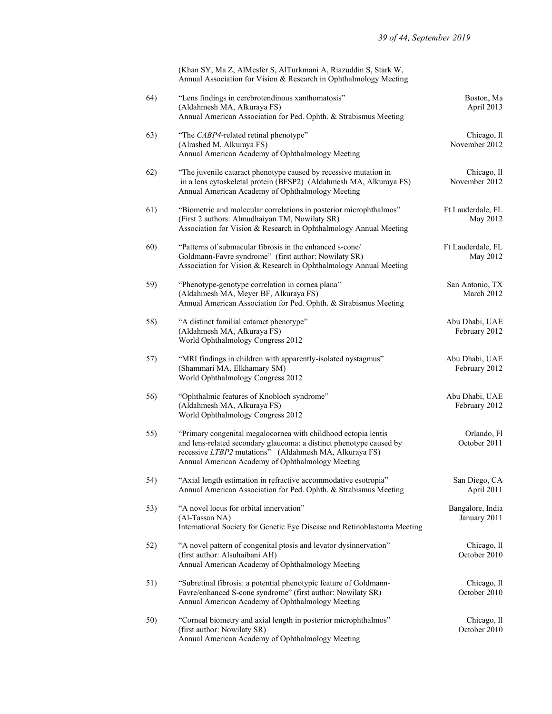(Khan SY, Ma Z, AlMesfer S, AlTurkmani A, Riazuddin S, Stark W, Annual Association for Vision & Research in Ophthalmology Meeting

| 64) | "Lens findings in cerebrotendinous xanthomatosis"<br>(Aldahmesh MA, Alkuraya FS)<br>Annual American Association for Ped. Ophth. & Strabismus Meeting                                                                                                | Boston, Ma<br>April 2013         |
|-----|-----------------------------------------------------------------------------------------------------------------------------------------------------------------------------------------------------------------------------------------------------|----------------------------------|
| 63) | "The CABP4-related retinal phenotype"<br>(Alrashed M, Alkuraya FS)<br>Annual American Academy of Ophthalmology Meeting                                                                                                                              | Chicago, Il<br>November 2012     |
| 62) | "The juvenile cataract phenotype caused by recessive mutation in<br>in a lens cytoskeletal protein (BFSP2) (Aldahmesh MA, Alkuraya FS)<br>Annual American Academy of Ophthalmology Meeting                                                          | Chicago, Il<br>November 2012     |
| 61) | "Biometric and molecular correlations in posterior microphthalmos"<br>(First 2 authors: Almudhaiyan TM, Nowilaty SR)<br>Association for Vision & Research in Ophthalmology Annual Meeting                                                           | Ft Lauderdale, FL<br>May 2012    |
| 60) | "Patterns of submacular fibrosis in the enhanced s-cone/<br>Goldmann-Favre syndrome" (first author: Nowilaty SR)<br>Association for Vision & Research in Ophthalmology Annual Meeting                                                               | Ft Lauderdale, FL<br>May 2012    |
| 59) | "Phenotype-genotype correlation in cornea plana"<br>(Aldahmesh MA, Meyer BF, Alkuraya FS)<br>Annual American Association for Ped. Ophth. & Strabismus Meeting                                                                                       | San Antonio, TX<br>March 2012    |
| 58) | "A distinct familial cataract phenotype"<br>(Aldahmesh MA, Alkuraya FS)<br>World Ophthalmology Congress 2012                                                                                                                                        | Abu Dhabi, UAE<br>February 2012  |
| 57) | "MRI findings in children with apparently-isolated nystagmus"<br>(Shammari MA, Elkhamary SM)<br>World Ophthalmology Congress 2012                                                                                                                   | Abu Dhabi, UAE<br>February 2012  |
| 56) | "Ophthalmic features of Knobloch syndrome"<br>(Aldahmesh MA, Alkuraya FS)<br>World Ophthalmology Congress 2012                                                                                                                                      | Abu Dhabi, UAE<br>February 2012  |
| 55) | "Primary congenital megalocornea with childhood ectopia lentis<br>and lens-related secondary glaucoma: a distinct phenotype caused by<br>recessive LTBP2 mutations" (Aldahmesh MA, Alkuraya FS)<br>Annual American Academy of Ophthalmology Meeting | Orlando, Fl<br>October 2011      |
| 54) | "Axial length estimation in refractive accommodative esotropia"<br>Annual American Association for Ped. Ophth. & Strabismus Meeting                                                                                                                 | San Diego, CA<br>April 2011      |
| 53) | "A novel locus for orbital innervation"<br>(Al-Tassan NA)<br>International Society for Genetic Eye Disease and Retinoblastoma Meeting                                                                                                               | Bangalore, India<br>January 2011 |
| 52) | "A novel pattern of congenital ptosis and levator dysinnervation"<br>(first author: Alsuhaibani AH)<br>Annual American Academy of Ophthalmology Meeting                                                                                             | Chicago, Il<br>October 2010      |
| 51) | "Subretinal fibrosis: a potential phenotypic feature of Goldmann-<br>Favre/enhanced S-cone syndrome" (first author: Nowilaty SR)<br>Annual American Academy of Ophthalmology Meeting                                                                | Chicago, Il<br>October 2010      |
| 50) | "Corneal biometry and axial length in posterior microphthalmos"<br>(first author: Nowilaty SR)<br>Annual American Academy of Ophthalmology Meeting                                                                                                  | Chicago, Il<br>October 2010      |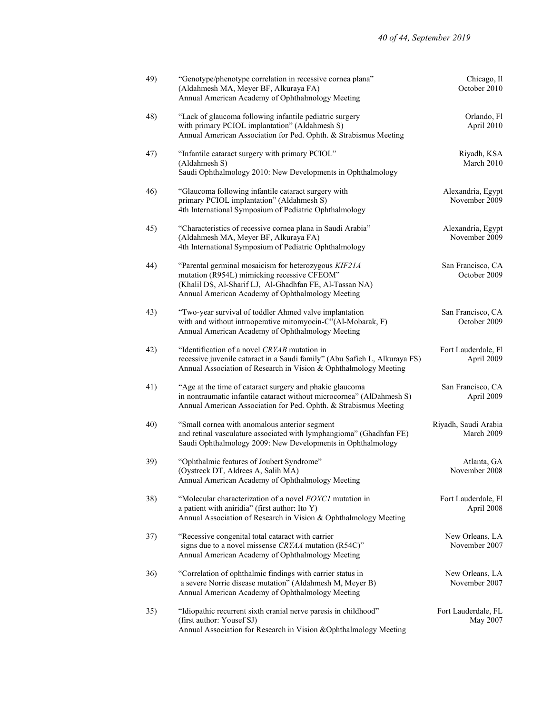| 49) | "Genotype/phenotype correlation in recessive cornea plana"<br>(Aldahmesh MA, Meyer BF, Alkuraya FA)<br>Annual American Academy of Ophthalmology Meeting                                                            | Chicago, Il<br>October 2010        |
|-----|--------------------------------------------------------------------------------------------------------------------------------------------------------------------------------------------------------------------|------------------------------------|
| 48) | "Lack of glaucoma following infantile pediatric surgery<br>with primary PCIOL implantation" (Aldahmesh S)<br>Annual American Association for Ped. Ophth. & Strabismus Meeting                                      | Orlando, Fl<br>April 2010          |
| 47) | "Infantile cataract surgery with primary PCIOL"<br>(Aldahmesh S)<br>Saudi Ophthalmology 2010: New Developments in Ophthalmology                                                                                    | Riyadh, KSA<br>March 2010          |
| 46) | "Glaucoma following infantile cataract surgery with<br>primary PCIOL implantation" (Aldahmesh S)<br>4th International Symposium of Pediatric Ophthalmology                                                         | Alexandria, Egypt<br>November 2009 |
| 45) | "Characteristics of recessive cornea plana in Saudi Arabia"<br>(Aldahmesh MA, Meyer BF, Alkuraya FA)<br>4th International Symposium of Pediatric Ophthalmology                                                     | Alexandria, Egypt<br>November 2009 |
| 44) | "Parental germinal mosaicism for heterozygous KIF21A<br>mutation (R954L) mimicking recessive CFEOM"<br>(Khalil DS, Al-Sharif LJ, Al-Ghadhfan FE, Al-Tassan NA)<br>Annual American Academy of Ophthalmology Meeting | San Francisco, CA<br>October 2009  |
| 43) | "Two-year survival of toddler Ahmed valve implantation<br>with and without intraoperative mitomyocin-C"(Al-Mobarak, F)<br>Annual American Academy of Ophthalmology Meeting                                         | San Francisco, CA<br>October 2009  |
| 42) | "Identification of a novel CRYAB mutation in<br>recessive juvenile cataract in a Saudi family" (Abu Safieh L, Alkuraya FS)<br>Annual Association of Research in Vision & Ophthalmology Meeting                     | Fort Lauderdale, Fl<br>April 2009  |
| 41) | "Age at the time of cataract surgery and phakic glaucoma<br>in nontraumatic infantile cataract without microcornea" (AlDahmesh S)<br>Annual American Association for Ped. Ophth. & Strabismus Meeting              | San Francisco, CA<br>April 2009    |
| 40) | "Small cornea with anomalous anterior segment<br>and retinal vasculature associated with lymphangioma" (Ghadhfan FE)<br>Saudi Ophthalmology 2009: New Developments in Ophthalmology                                | Riyadh, Saudi Arabia<br>March 2009 |
| 39) | "Ophthalmic features of Joubert Syndrome"<br>(Oystreck DT, Aldrees A, Salih MA)<br>Annual American Academy of Ophthalmology Meeting                                                                                | Atlanta, GA<br>November 2008       |
| 38) | "Molecular characterization of a novel FOXC1 mutation in<br>a patient with aniridia" (first author: Ito Y)<br>Annual Association of Research in Vision & Ophthalmology Meeting                                     | Fort Lauderdale, Fl<br>April 2008  |
| 37) | "Recessive congenital total cataract with carrier<br>signs due to a novel missense CRYAA mutation (R54C)"<br>Annual American Academy of Ophthalmology Meeting                                                      | New Orleans, LA<br>November 2007   |
| 36) | "Correlation of ophthalmic findings with carrier status in<br>a severe Norrie disease mutation" (Aldahmesh M, Meyer B)<br>Annual American Academy of Ophthalmology Meeting                                         | New Orleans, LA<br>November 2007   |
| 35) | "Idiopathic recurrent sixth cranial nerve paresis in childhood"<br>(first author: Yousef SJ)<br>Annual Association for Research in Vision & Ophthalmology Meeting                                                  | Fort Lauderdale, FL<br>May 2007    |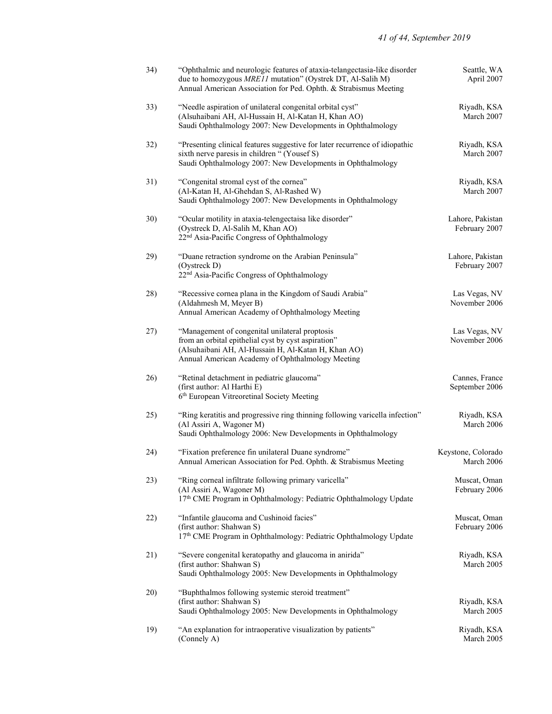| 34) | "Ophthalmic and neurologic features of ataxia-telangectasia-like disorder<br>due to homozygous MRE11 mutation" (Oystrek DT, Al-Salih M)<br>Annual American Association for Ped. Ophth. & Strabismus Meeting      | Seattle, WA<br>April 2007         |
|-----|------------------------------------------------------------------------------------------------------------------------------------------------------------------------------------------------------------------|-----------------------------------|
| 33) | "Needle aspiration of unilateral congenital orbital cyst"<br>(Alsuhaibani AH, Al-Hussain H, Al-Katan H, Khan AO)<br>Saudi Ophthalmology 2007: New Developments in Ophthalmology                                  | Riyadh, KSA<br>March 2007         |
| 32) | "Presenting clinical features suggestive for later recurrence of idiopathic<br>sixth nerve paresis in children " (Yousef S)<br>Saudi Ophthalmology 2007: New Developments in Ophthalmology                       | Riyadh, KSA<br>March 2007         |
| 31) | "Congenital stromal cyst of the cornea"<br>(Al-Katan H, Al-Ghehdan S, Al-Rashed W)<br>Saudi Ophthalmology 2007: New Developments in Ophthalmology                                                                | Riyadh, KSA<br>March 2007         |
| 30) | "Ocular motility in ataxia-telengectaisa like disorder"<br>(Oystreck D, Al-Salih M, Khan AO)<br>22 <sup>nd</sup> Asia-Pacific Congress of Ophthalmology                                                          | Lahore, Pakistan<br>February 2007 |
| 29) | "Duane retraction syndrome on the Arabian Peninsula"<br>(Oystreck D)<br>22 <sup>nd</sup> Asia-Pacific Congress of Ophthalmology                                                                                  | Lahore, Pakistan<br>February 2007 |
| 28) | "Recessive cornea plana in the Kingdom of Saudi Arabia"<br>(Aldahmesh M, Meyer B)<br>Annual American Academy of Ophthalmology Meeting                                                                            | Las Vegas, NV<br>November 2006    |
| 27) | "Management of congenital unilateral proptosis<br>from an orbital epithelial cyst by cyst aspiration"<br>(Alsuhaibani AH, Al-Hussain H, Al-Katan H, Khan AO)<br>Annual American Academy of Ophthalmology Meeting | Las Vegas, NV<br>November 2006    |
| 26) | "Retinal detachment in pediatric glaucoma"<br>(first author: Al Harthi E)<br>6th European Vitreoretinal Society Meeting                                                                                          | Cannes, France<br>September 2006  |
| 25) | "Ring keratitis and progressive ring thinning following varicella infection"<br>(Al Assiri A, Wagoner M)<br>Saudi Ophthalmology 2006: New Developments in Ophthalmology                                          | Riyadh, KSA<br>March 2006         |
| 24) | "Fixation preference fin unilateral Duane syndrome"<br>Annual American Association for Ped. Ophth. & Strabismus Meeting                                                                                          | Keystone, Colorado<br>March 2006  |
| 23) | "Ring corneal infiltrate following primary varicella"<br>(Al Assiri A, Wagoner M)<br>17th CME Program in Ophthalmology: Pediatric Ophthalmology Update                                                           | Muscat, Oman<br>February 2006     |
| 22) | "Infantile glaucoma and Cushinoid facies"<br>(first author: Shahwan S)<br>17th CME Program in Ophthalmology: Pediatric Ophthalmology Update                                                                      | Muscat, Oman<br>February 2006     |
| 21) | "Severe congenital keratopathy and glaucoma in anirida"<br>(first author: Shahwan S)<br>Saudi Ophthalmology 2005: New Developments in Ophthalmology                                                              | Riyadh, KSA<br>March 2005         |
| 20) | "Buphthalmos following systemic steroid treatment"<br>(first author: Shahwan S)<br>Saudi Ophthalmology 2005: New Developments in Ophthalmology                                                                   | Riyadh, KSA<br>March 2005         |
| 19) | "An explanation for intraoperative visualization by patients"<br>(Connely A)                                                                                                                                     | Riyadh, KSA<br>March 2005         |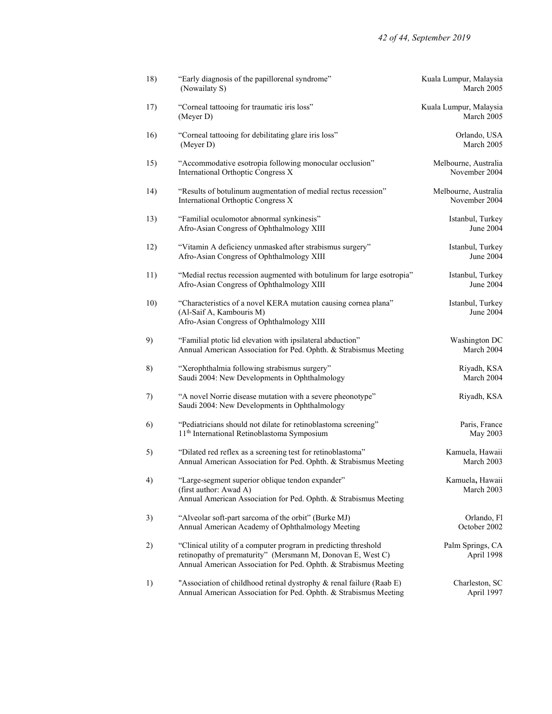| 18) | "Early diagnosis of the papillorenal syndrome"<br>(Nowailaty S)                                                                                                                                    | Kuala Lumpur, Malaysia<br>March 2005  |
|-----|----------------------------------------------------------------------------------------------------------------------------------------------------------------------------------------------------|---------------------------------------|
| 17) | "Corneal tattooing for traumatic iris loss"<br>(Meyer D)                                                                                                                                           | Kuala Lumpur, Malaysia<br>March 2005  |
| 16) | "Corneal tattooing for debilitating glare iris loss"<br>(Meyer D)                                                                                                                                  | Orlando, USA<br>March 2005            |
| 15) | "Accommodative esotropia following monocular occlusion"<br>International Orthoptic Congress X                                                                                                      | Melbourne, Australia<br>November 2004 |
| 14) | "Results of botulinum augmentation of medial rectus recession"<br>International Orthoptic Congress X                                                                                               | Melbourne, Australia<br>November 2004 |
| 13) | "Familial oculomotor abnormal synkinesis"<br>Afro-Asian Congress of Ophthalmology XIII                                                                                                             | Istanbul, Turkey<br>June 2004         |
| 12) | "Vitamin A deficiency unmasked after strabismus surgery"<br>Afro-Asian Congress of Ophthalmology XIII                                                                                              | Istanbul, Turkey<br>June 2004         |
| 11) | "Medial rectus recession augmented with botulinum for large esotropia"<br>Afro-Asian Congress of Ophthalmology XIII                                                                                | Istanbul, Turkey<br>June 2004         |
| 10) | "Characteristics of a novel KERA mutation causing cornea plana"<br>(Al-Saif A, Kambouris M)<br>Afro-Asian Congress of Ophthalmology XIII                                                           | Istanbul, Turkey<br>June 2004         |
| 9)  | "Familial ptotic lid elevation with ipsilateral abduction"<br>Annual American Association for Ped. Ophth. & Strabismus Meeting                                                                     | Washington DC<br>March 2004           |
| 8)  | "Xerophthalmia following strabismus surgery"<br>Saudi 2004: New Developments in Ophthalmology                                                                                                      | Riyadh, KSA<br>March 2004             |
| 7)  | "A novel Norrie disease mutation with a severe pheonotype"<br>Saudi 2004: New Developments in Ophthalmology                                                                                        | Riyadh, KSA                           |
| 6)  | "Pediatricians should not dilate for retinoblastoma screening"<br>11 <sup>th</sup> International Retinoblastoma Symposium                                                                          | Paris, France<br>May 2003             |
| 5)  | "Dilated red reflex as a screening test for retinoblastoma"<br>Annual American Association for Ped. Ophth. & Strabismus Meeting                                                                    | Kamuela, Hawaii<br>March 2003         |
| 4)  | "Large-segment superior oblique tendon expander"<br>(first author: Awad A)<br>Annual American Association for Ped. Ophth. & Strabismus Meeting                                                     | Kamuela, Hawaii<br>March 2003         |
| 3)  | "Alveolar soft-part sarcoma of the orbit" (Burke MJ)<br>Annual American Academy of Ophthalmology Meeting                                                                                           | Orlando, Fl<br>October 2002           |
| 2)  | "Clinical utility of a computer program in predicting threshold<br>retinopathy of prematurity" (Mersmann M, Donovan E, West C)<br>Annual American Association for Ped. Ophth. & Strabismus Meeting | Palm Springs, CA<br>April 1998        |
| 1)  | "Association of childhood retinal dystrophy & renal failure (Raab E)<br>Annual American Association for Ped. Ophth. & Strabismus Meeting                                                           | Charleston, SC<br>April 1997          |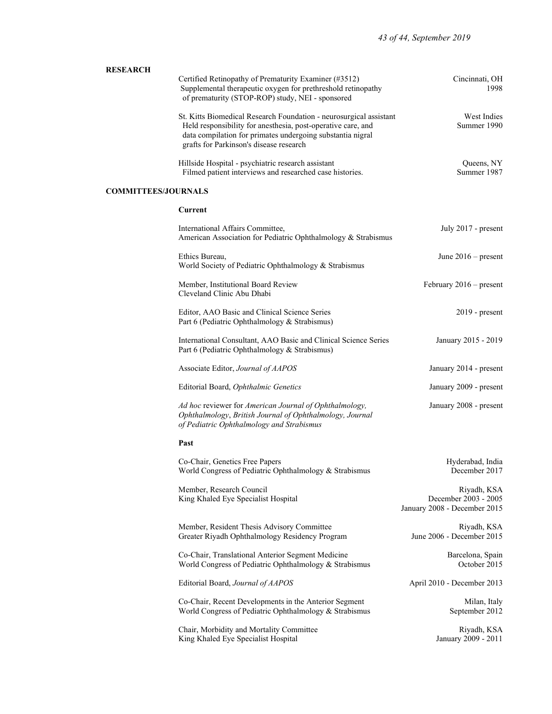|                     | <b>RESEARCH</b>                                                    |
|---------------------|--------------------------------------------------------------------|
| Cincinnati, OH      | Certified Retinopathy of Prematurity Examiner (#3512)              |
| 1998                | Supplemental therapeutic oxygen for prethreshold retinopathy       |
|                     | of prematurity (STOP-ROP) study, NEI - sponsored                   |
| West Indies         | St. Kitts Biomedical Research Foundation - neurosurgical assistant |
| Summer 1990         | Held responsibility for anesthesia, post-operative care, and       |
|                     | data compilation for primates undergoing substantia nigral         |
|                     | grafts for Parkinson's disease research                            |
| Queens, NY          | Hillside Hospital - psychiatric research assistant                 |
| Summer 1987         | Filmed patient interviews and researched case histories.           |
|                     | <b>COMMITTEES/JOURNALS</b>                                         |
|                     | Current                                                            |
| July 2017 - present | International Affairs Committee,                                   |

| American Association for Pediatric Ophthalmology & Strabismus                                                                                                   |                                                                     |
|-----------------------------------------------------------------------------------------------------------------------------------------------------------------|---------------------------------------------------------------------|
| Ethics Bureau,<br>World Society of Pediatric Ophthalmology & Strabismus                                                                                         | June $2016$ – present                                               |
| Member, Institutional Board Review<br>Cleveland Clinic Abu Dhabi                                                                                                | February $2016$ – present                                           |
| Editor, AAO Basic and Clinical Science Series<br>Part 6 (Pediatric Ophthalmology & Strabismus)                                                                  | $2019$ - present                                                    |
| International Consultant, AAO Basic and Clinical Science Series<br>Part 6 (Pediatric Ophthalmology & Strabismus)                                                | January 2015 - 2019                                                 |
| Associate Editor, Journal of AAPOS                                                                                                                              | January 2014 - present                                              |
| Editorial Board, Ophthalmic Genetics                                                                                                                            | January 2009 - present                                              |
| Ad hoc reviewer for American Journal of Ophthalmology,<br>Ophthalmology, British Journal of Ophthalmology, Journal<br>of Pediatric Ophthalmology and Strabismus | January 2008 - present                                              |
| Past                                                                                                                                                            |                                                                     |
| Co-Chair, Genetics Free Papers<br>World Congress of Pediatric Ophthalmology & Strabismus                                                                        | Hyderabad, India<br>December 2017                                   |
| Member, Research Council<br>King Khaled Eye Specialist Hospital                                                                                                 | Riyadh, KSA<br>December 2003 - 2005<br>January 2008 - December 2015 |
| Member, Resident Thesis Advisory Committee<br>Greater Riyadh Ophthalmology Residency Program                                                                    | Riyadh, KSA<br>June 2006 - December 2015                            |
| Co-Chair, Translational Anterior Segment Medicine<br>World Congress of Pediatric Ophthalmology & Strabismus                                                     | Barcelona, Spain<br>October 2015                                    |
| Editorial Board, Journal of AAPOS                                                                                                                               | April 2010 - December 2013                                          |
| Co-Chair, Recent Developments in the Anterior Segment<br>World Congress of Pediatric Ophthalmology & Strabismus                                                 | Milan, Italy<br>September 2012                                      |
| Chair, Morbidity and Mortality Committee                                                                                                                        | Riyadh, KSA                                                         |

King Khaled Eye Specialist Hospital January 2009 - 2011